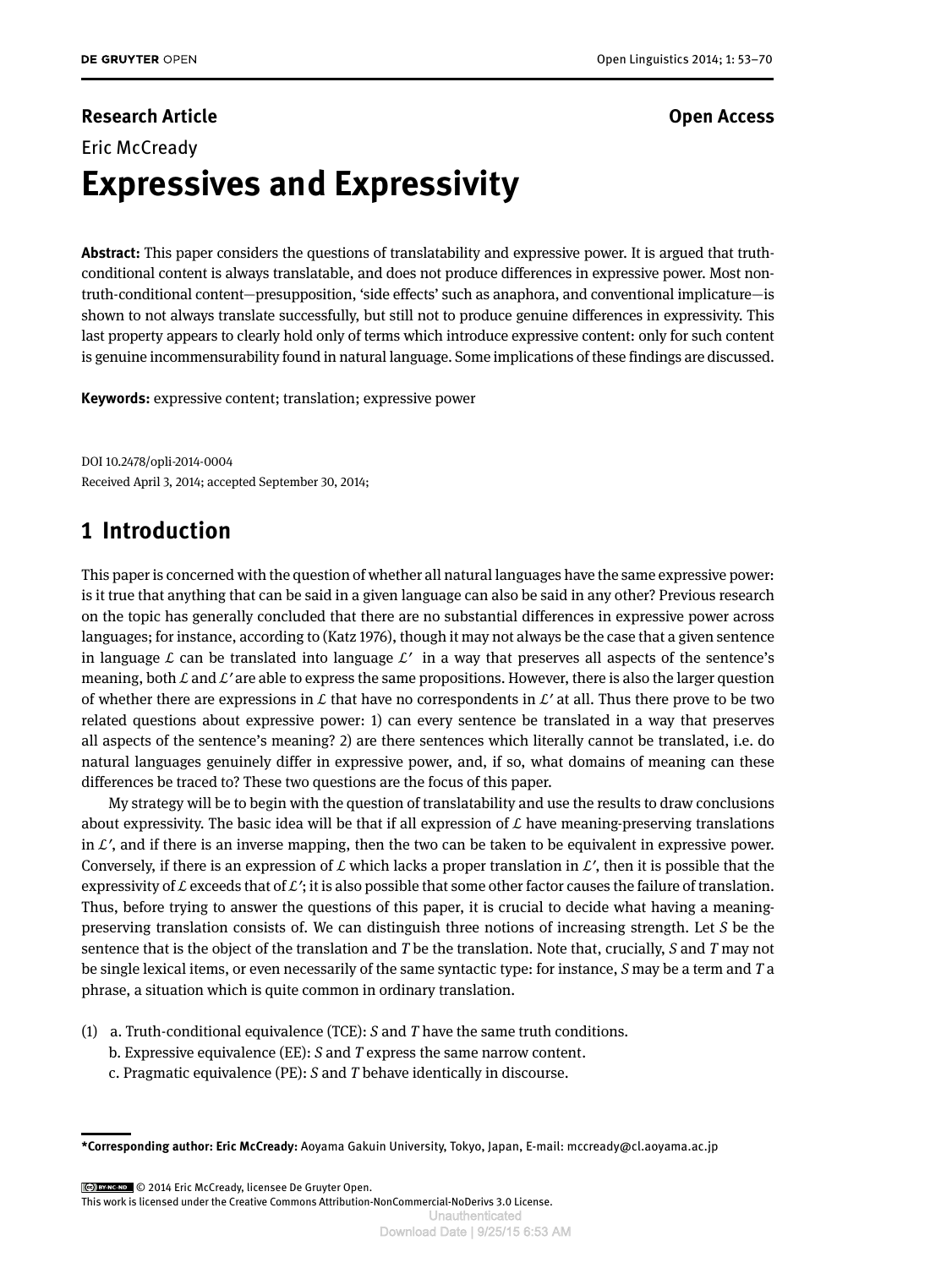# Eric McCready **Expressives and Expressivity Research Article Open Access**

**Abstract:** This paper considers the questions of translatability and expressive power. It is argued that truthconditional content is always translatable, and does not produce differences in expressive power. Most nontruth-conditional content—presupposition, 'side effects' such as anaphora, and conventional implicature—is shown to not always translate successfully, but still not to produce genuine differences in expressivity. This last property appears to clearly hold only of terms which introduce expressive content: only for such content is genuine incommensurability found in natural language. Some implications of these findings are discussed.

**Keywords:** expressive content; translation; expressive power

DOI 10.2478/opli-2014-0004 Received April 3, 2014; accepted September 30, 2014;

## **1 Introduction**

This paper is concerned with the question of whether all natural languages have the same expressive power: is it true that anything that can be said in a given language can also be said in any other? Previous research on the topic has generally concluded that there are no substantial differences in expressive power across languages; for instance, according to (Katz 1976), though it may not always be the case that a given sentence in language  $\mathcal L$  can be translated into language  $\mathcal L'$  in a way that preserves all aspects of the sentence's meaning, both L and L' are able to express the same propositions. However, there is also the larger question of whether there are expressions in ℒ that have no correspondents in ℒ*ʹ* at all. Thus there prove to be two related questions about expressive power: 1) can every sentence be translated in a way that preserves all aspects of the sentence's meaning? 2) are there sentences which literally cannot be translated, i.e. do natural languages genuinely differ in expressive power, and, if so, what domains of meaning can these differences be traced to? These two questions are the focus of this paper.

My strategy will be to begin with the question of translatability and use the results to draw conclusions about expressivity. The basic idea will be that if all expression of  $\mathcal L$  have meaning-preserving translations in  $L'$ , and if there is an inverse mapping, then the two can be taken to be equivalent in expressive power. Conversely, if there is an expression of L which lacks a proper translation in L', then it is possible that the expressivity of  $\mathcal L$  exceeds that of  $\mathcal L'$ ; it is also possible that some other factor causes the failure of translation. Thus, before trying to answer the questions of this paper, it is crucial to decide what having a meaningpreserving translation consists of. We can distinguish three notions of increasing strength. Let *S* be the sentence that is the object of the translation and *T* be the translation. Note that, crucially, *S* and *T* may not be single lexical items, or even necessarily of the same syntactic type: for instance, *S* may be a term and *T* a phrase, a situation which is quite common in ordinary translation.

- (1) a. Truth-conditional equivalence (TCE): *S* and *T* have the same truth conditions.
	- b. Expressive equivalence (EE): *S* and *T* express the same narrow content.
	- c. Pragmatic equivalence (PE): *S* and *T* behave identically in discourse.

**\*Corresponding author: Eric McCready:** Aoyama Gakuin University, Tokyo, Japan, E-mail: mccready@cl.aoyama.ac.jp

© 2014 Eric McCready, licensee De Gruyter Open.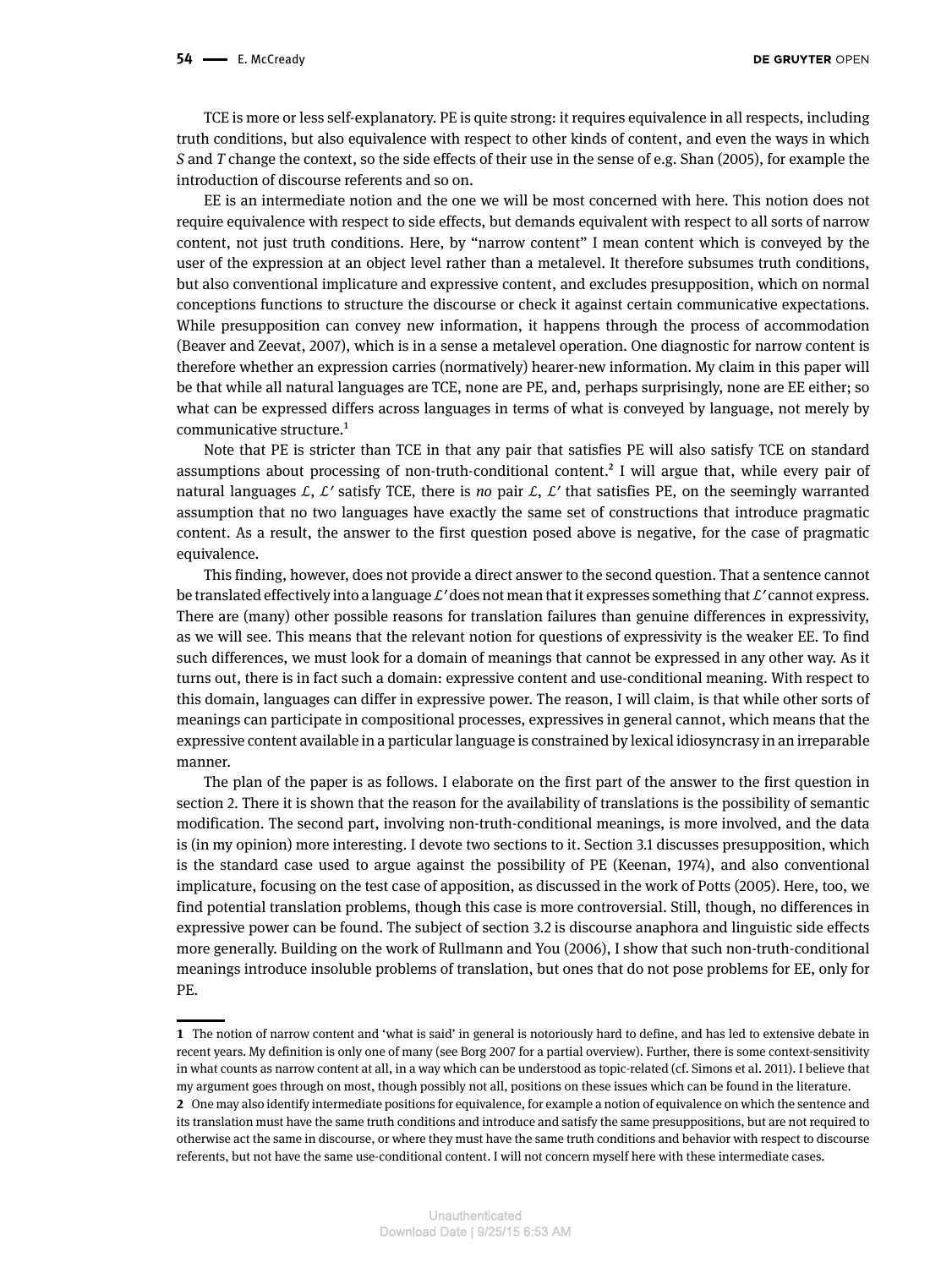TCE is more or less self-explanatory. PE is quite strong: it requires equivalence in all respects, including truth conditions, but also equivalence with respect to other kinds of content, and even the ways in which *S* and *T* change the context, so the side effects of their use in the sense of e.g. Shan (2005), for example the introduction of discourse referents and so on.

EE is an intermediate notion and the one we will be most concerned with here. This notion does not require equivalence with respect to side effects, but demands equivalent with respect to all sorts of narrow content, not just truth conditions. Here, by "narrow content" I mean content which is conveyed by the user of the expression at an object level rather than a metalevel. It therefore subsumes truth conditions, but also conventional implicature and expressive content, and excludes presupposition, which on normal conceptions functions to structure the discourse or check it against certain communicative expectations. While presupposition can convey new information, it happens through the process of accommodation (Beaver and Zeevat, 2007), which is in a sense a metalevel operation. One diagnostic for narrow content is therefore whether an expression carries (normatively) hearer-new information. My claim in this paper will be that while all natural languages are TCE, none are PE, and, perhaps surprisingly, none are EE either; so what can be expressed differs across languages in terms of what is conveyed by language, not merely by communicative structure.1

Note that PE is stricter than TCE in that any pair that satisfies PE will also satisfy TCE on standard assumptions about processing of non-truth-conditional content.2 I will argue that, while every pair of natural languages L, L' satisfy TCE, there is *no* pair L, L' that satisfies PE, on the seemingly warranted assumption that no two languages have exactly the same set of constructions that introduce pragmatic content. As a result, the answer to the first question posed above is negative, for the case of pragmatic equivalence.

This finding, however, does not provide a direct answer to the second question. That a sentence cannot be translated effectively into a language ℒ*ʹ* does not mean that it expresses something that ℒ*ʹ* cannot express. There are (many) other possible reasons for translation failures than genuine differences in expressivity, as we will see. This means that the relevant notion for questions of expressivity is the weaker EE. To find such differences, we must look for a domain of meanings that cannot be expressed in any other way. As it turns out, there is in fact such a domain: expressive content and use-conditional meaning. With respect to this domain, languages can differ in expressive power. The reason, I will claim, is that while other sorts of meanings can participate in compositional processes, expressives in general cannot, which means that the expressive content available in a particular language is constrained by lexical idiosyncrasy in an irreparable manner.

The plan of the paper is as follows. I elaborate on the first part of the answer to the first question in section 2. There it is shown that the reason for the availability of translations is the possibility of semantic modification. The second part, involving non-truth-conditional meanings, is more involved, and the data is (in my opinion) more interesting. I devote two sections to it. Section 3.1 discusses presupposition, which is the standard case used to argue against the possibility of PE (Keenan, 1974), and also conventional implicature, focusing on the test case of apposition, as discussed in the work of Potts (2005). Here, too, we find potential translation problems, though this case is more controversial. Still, though, no differences in expressive power can be found. The subject of section 3.2 is discourse anaphora and linguistic side effects more generally. Building on the work of Rullmann and You (2006), I show that such non-truth-conditional meanings introduce insoluble problems of translation, but ones that do not pose problems for EE, only for PE.

**<sup>1</sup>** The notion of narrow content and 'what is said' in general is notoriously hard to define, and has led to extensive debate in recent years. My definition is only one of many (see Borg 2007 for a partial overview). Further, there is some context-sensitivity in what counts as narrow content at all, in a way which can be understood as topic-related (cf. Simons et al. 2011). I believe that my argument goes through on most, though possibly not all, positions on these issues which can be found in the literature. **2** One may also identify intermediate positions for equivalence, for example a notion of equivalence on which the sentence and its translation must have the same truth conditions and introduce and satisfy the same presuppositions, but are not required to otherwise act the same in discourse, or where they must have the same truth conditions and behavior with respect to discourse referents, but not have the same use-conditional content. I will not concern myself here with these intermediate cases.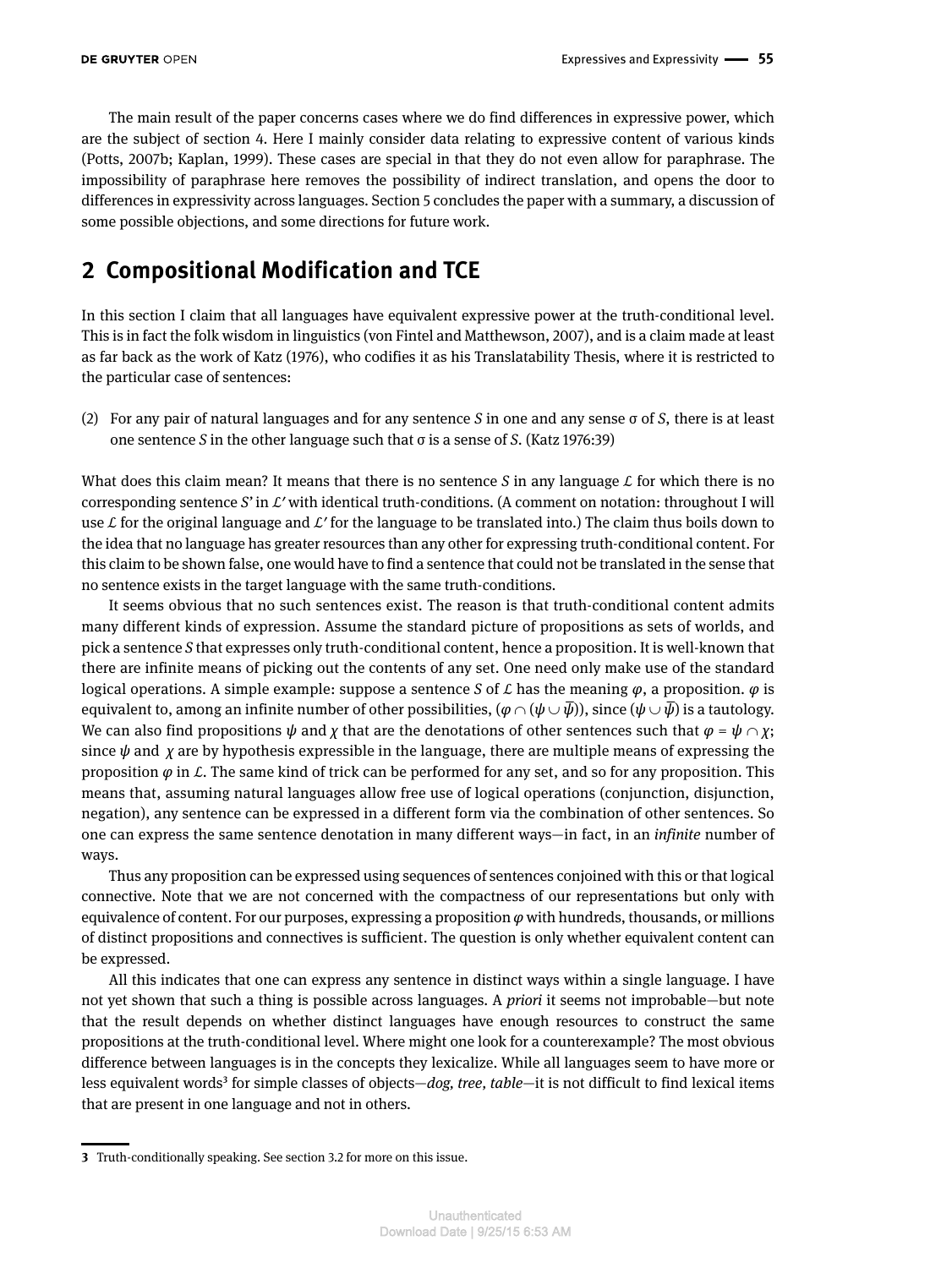The main result of the paper concerns cases where we do find differences in expressive power, which are the subject of section 4. Here I mainly consider data relating to expressive content of various kinds (Potts, 2007b; Kaplan, 1999). These cases are special in that they do not even allow for paraphrase. The impossibility of paraphrase here removes the possibility of indirect translation, and opens the door to differences in expressivity across languages. Section 5 concludes the paper with a summary, a discussion of some possible objections, and some directions for future work.

## **2 Compositional Modification and TCE**

In this section I claim that all languages have equivalent expressive power at the truth-conditional level. This is in fact the folk wisdom in linguistics (von Fintel and Matthewson, 2007), and is a claim made at least as far back as the work of Katz (1976), who codifies it as his Translatability Thesis, where it is restricted to the particular case of sentences:

(2) For any pair of natural languages and for any sentence *S* in one and any sense σ of *S*, there is at least one sentence *S* in the other language such that σ is a sense of *S*. (Katz 1976:39)

What does this claim mean? It means that there is no sentence S in any language  $\mathcal L$  for which there is no corresponding sentence *S'* in ℒ*ʹ* with identical truth-conditions. (A comment on notation: throughout I will use  $\mathcal L$  for the original language and  $\mathcal L'$  for the language to be translated into.) The claim thus boils down to the idea that no language has greater resources than any other for expressing truth-conditional content. For this claim to be shown false, one would have to find a sentence that could not be translated in the sense that no sentence exists in the target language with the same truth-conditions.

It seems obvious that no such sentences exist. The reason is that truth-conditional content admits many different kinds of expression. Assume the standard picture of propositions as sets of worlds, and pick a sentence *S* that expresses only truth-conditional content, hence a proposition. It is well-known that there are infinite means of picking out the contents of any set. One need only make use of the standard logical operations. A simple example: suppose a sentence *S* of *L* has the meaning  $\varphi$ , a proposition.  $\varphi$  is equivalent to, among an infinite number of other possibilities, (*φ* ∩ (*ψ* ∪ *ψ*)), since (*ψ* ∪ *ψ*) is a tautology. ‒ ‒ We can also find propositions  $\psi$  and  $\chi$  that are the denotations of other sentences such that  $\varphi = \psi \cap \chi$ ; since  $\psi$  and  $\chi$  are by hypothesis expressible in the language, there are multiple means of expressing the proposition  $\varphi$  in *L*. The same kind of trick can be performed for any set, and so for any proposition. This means that, assuming natural languages allow free use of logical operations (conjunction, disjunction, negation), any sentence can be expressed in a different form via the combination of other sentences. So one can express the same sentence denotation in many different ways—in fact, in an *infinite* number of ways.

Thus any proposition can be expressed using sequences of sentences conjoined with this or that logical connective. Note that we are not concerned with the compactness of our representations but only with equivalence of content. For our purposes, expressing a proposition *φ* with hundreds, thousands, or millions of distinct propositions and connectives is sufficient. The question is only whether equivalent content can be expressed.

All this indicates that one can express any sentence in distinct ways within a single language. I have not yet shown that such a thing is possible across languages. A *priori* it seems not improbable—but note that the result depends on whether distinct languages have enough resources to construct the same propositions at the truth-conditional level. Where might one look for a counterexample? The most obvious difference between languages is in the concepts they lexicalize. While all languages seem to have more or less equivalent words<sup>3</sup> for simple classes of objects—*dog, tree, table*—it is not difficult to find lexical items that are present in one language and not in others.

**<sup>3</sup>** Truth-conditionally speaking. See section 3.2 for more on this issue.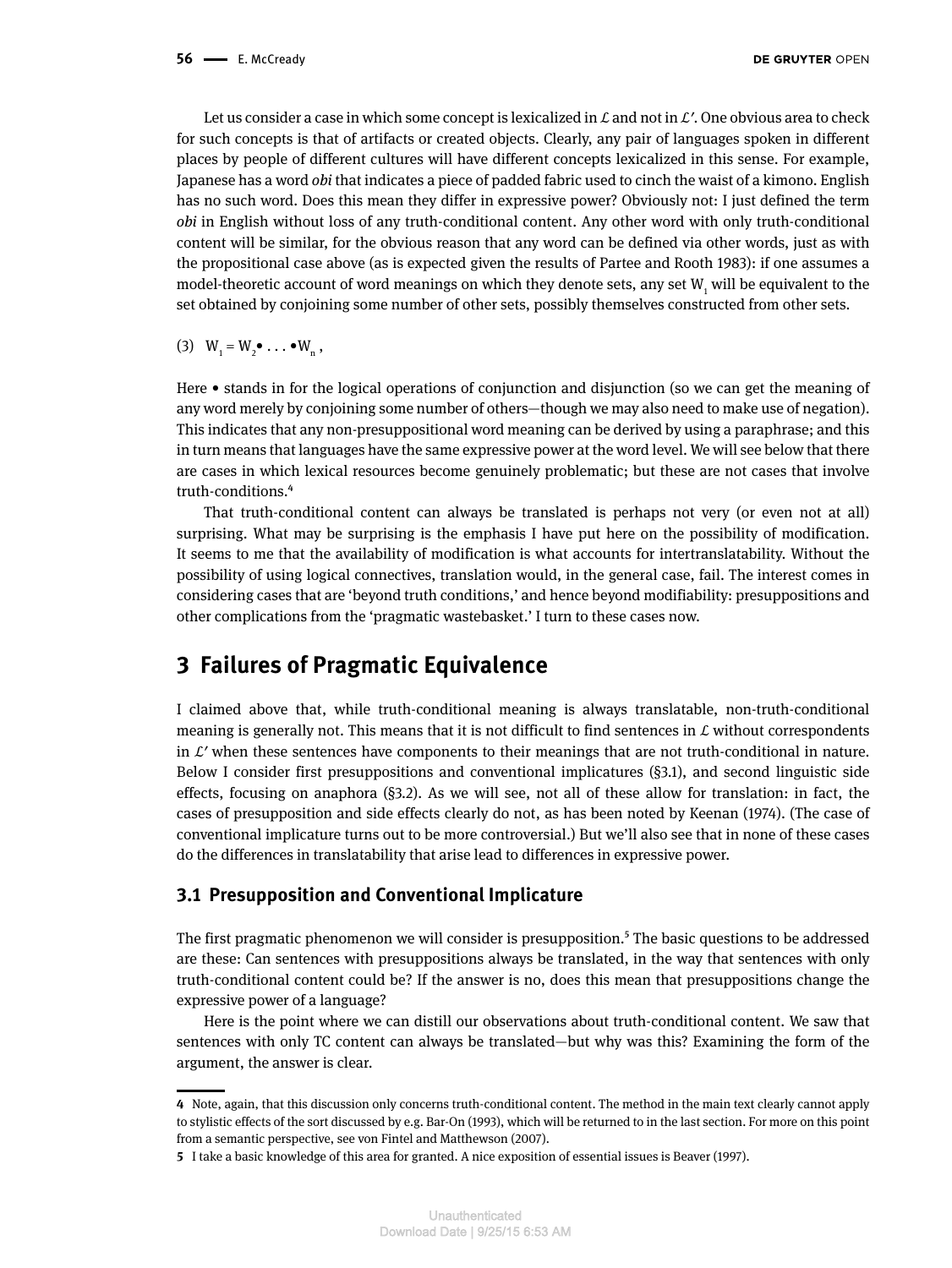Let us consider a case in which some concept is lexicalized in *L* and not in *L'*. One obvious area to check for such concepts is that of artifacts or created objects. Clearly, any pair of languages spoken in different places by people of different cultures will have different concepts lexicalized in this sense. For example, Japanese has a word *obi* that indicates a piece of padded fabric used to cinch the waist of a kimono. English has no such word. Does this mean they differ in expressive power? Obviously not: I just defined the term *obi* in English without loss of any truth-conditional content. Any other word with only truth-conditional content will be similar, for the obvious reason that any word can be defined via other words, just as with the propositional case above (as is expected given the results of Partee and Rooth 1983): if one assumes a model-theoretic account of word meanings on which they denote sets, any set  $\mathsf{W}_\text{l}$  will be equivalent to the set obtained by conjoining some number of other sets, possibly themselves constructed from other sets.

(3)  $W_1 = W_2 \bullet \ldots \bullet W_n$ ,

Here • stands in for the logical operations of conjunction and disjunction (so we can get the meaning of any word merely by conjoining some number of others—though we may also need to make use of negation). This indicates that any non-presuppositional word meaning can be derived by using a paraphrase; and this in turn means that languages have the same expressive power at the word level. We will see below that there are cases in which lexical resources become genuinely problematic; but these are not cases that involve truth-conditions.4

That truth-conditional content can always be translated is perhaps not very (or even not at all) surprising. What may be surprising is the emphasis I have put here on the possibility of modification. It seems to me that the availability of modification is what accounts for intertranslatability. Without the possibility of using logical connectives, translation would, in the general case, fail. The interest comes in considering cases that are 'beyond truth conditions,' and hence beyond modifiability: presuppositions and other complications from the 'pragmatic wastebasket.' I turn to these cases now.

### **3 Failures of Pragmatic Equivalence**

I claimed above that, while truth-conditional meaning is always translatable, non-truth-conditional meaning is generally not. This means that it is not difficult to find sentences in  $\mathcal L$  without correspondents in  $\mathcal{L}'$  when these sentences have components to their meanings that are not truth-conditional in nature. Below I consider first presuppositions and conventional implicatures (§3.1), and second linguistic side effects, focusing on anaphora (§3.2). As we will see, not all of these allow for translation: in fact, the cases of presupposition and side effects clearly do not, as has been noted by Keenan (1974). (The case of conventional implicature turns out to be more controversial.) But we'll also see that in none of these cases do the differences in translatability that arise lead to differences in expressive power.

### **3.1 Presupposition and Conventional Implicature**

The first pragmatic phenomenon we will consider is presupposition.<sup>5</sup> The basic questions to be addressed are these: Can sentences with presuppositions always be translated, in the way that sentences with only truth-conditional content could be? If the answer is no, does this mean that presuppositions change the expressive power of a language?

Here is the point where we can distill our observations about truth-conditional content. We saw that sentences with only TC content can always be translated—but why was this? Examining the form of the argument, the answer is clear.

**<sup>4</sup>** Note, again, that this discussion only concerns truth-conditional content. The method in the main text clearly cannot apply to stylistic effects of the sort discussed by e.g. Bar-On (1993), which will be returned to in the last section. For more on this point from a semantic perspective, see von Fintel and Matthewson (2007).

**<sup>5</sup>** I take a basic knowledge of this area for granted. A nice exposition of essential issues is Beaver (1997).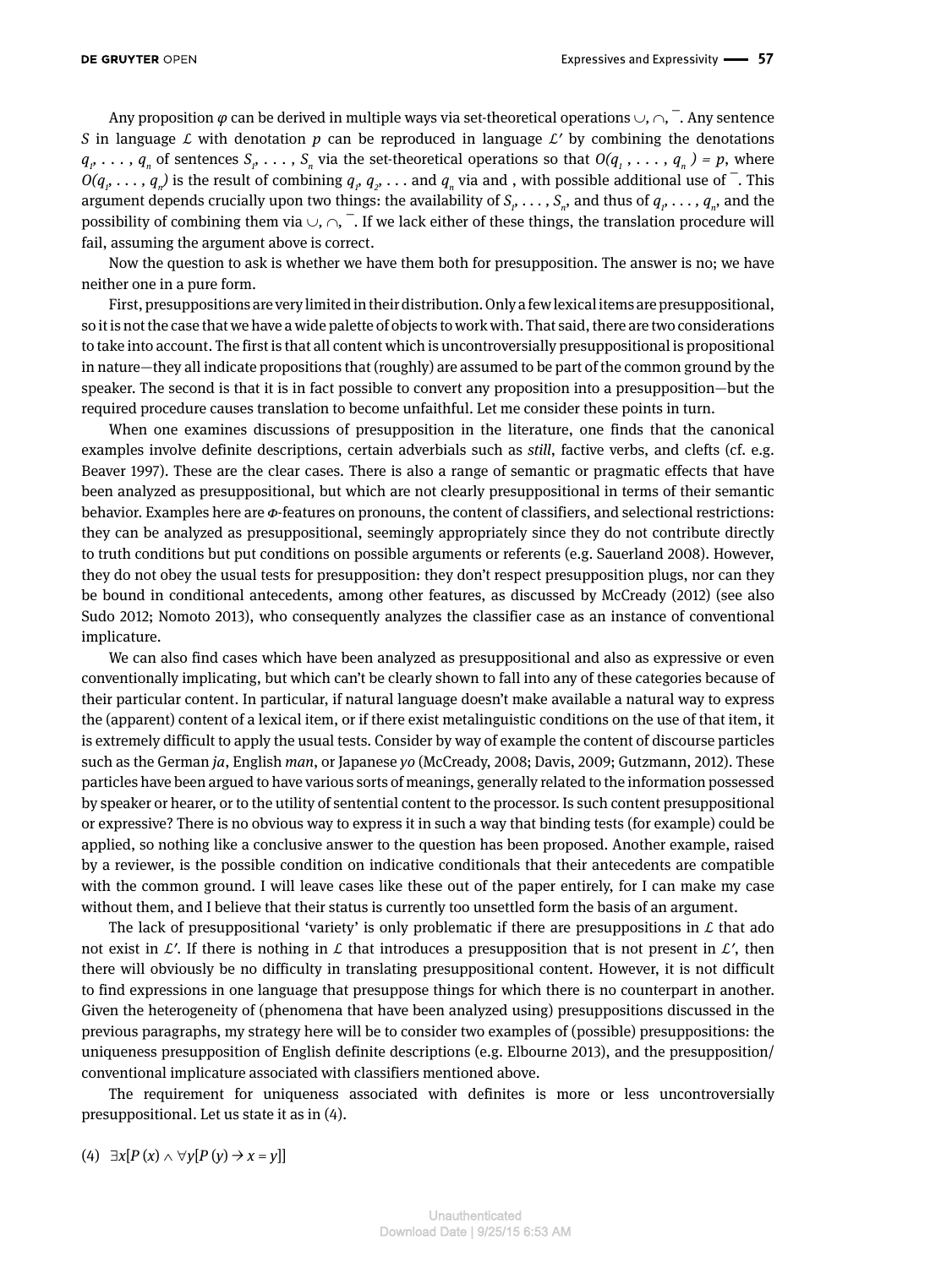Any proposition *φ* can be derived in multiple ways via set-theoretical operations ∪, ∩,  $\bar{\ }$ . Any sentence *S* in language *L* with denotation *p* can be reproduced in language  $L'$  by combining the denotations  $q_p$ , ...,  $q_n$  of sentences  $S_p$ , ...,  $S_n$  via the set-theoretical operations so that  $O(q_1, \ldots, q_n) = p$ , where  $O(q_p, \ldots, q_n)$  is the result of combining  $q_p, q_p, \ldots$  and  $q_n$  via and , with possible additional use of  $\ldots$  This argument depends crucially upon two things: the availability of  $S_i, \ldots, S_n$ , and thus of  $q_j, \ldots, q_n$ , and the possibility of combining them via  $\cup$ ,  $\cap$ ,  $\overline{\cdot}$ . If we lack either of these things, the translation procedure will fail, assuming the argument above is correct.

Now the question to ask is whether we have them both for presupposition. The answer is no; we have neither one in a pure form.

First, presuppositions are very limited in their distribution. Only a few lexical items are presuppositional, so it is not the case that we have a wide palette of objects to work with. That said, there are two considerations to take into account. The first is that all content which is uncontroversially presuppositional is propositional in nature—they all indicate propositions that (roughly) are assumed to be part of the common ground by the speaker. The second is that it is in fact possible to convert any proposition into a presupposition—but the required procedure causes translation to become unfaithful. Let me consider these points in turn.

When one examines discussions of presupposition in the literature, one finds that the canonical examples involve definite descriptions, certain adverbials such as *still*, factive verbs, and clefts (cf. e.g. Beaver 1997). These are the clear cases. There is also a range of semantic or pragmatic effects that have been analyzed as presuppositional, but which are not clearly presuppositional in terms of their semantic behavior. Examples here are *φ*-features on pronouns, the content of classifiers, and selectional restrictions: they can be analyzed as presuppositional, seemingly appropriately since they do not contribute directly to truth conditions but put conditions on possible arguments or referents (e.g. Sauerland 2008). However, they do not obey the usual tests for presupposition: they don't respect presupposition plugs, nor can they be bound in conditional antecedents, among other features, as discussed by McCready (2012) (see also Sudo 2012; Nomoto 2013), who consequently analyzes the classifier case as an instance of conventional implicature.

We can also find cases which have been analyzed as presuppositional and also as expressive or even conventionally implicating, but which can't be clearly shown to fall into any of these categories because of their particular content. In particular, if natural language doesn't make available a natural way to express the (apparent) content of a lexical item, or if there exist metalinguistic conditions on the use of that item, it is extremely difficult to apply the usual tests. Consider by way of example the content of discourse particles such as the German *ja*, English *man*, or Japanese *yo* (McCready, 2008; Davis, 2009; Gutzmann, 2012). These particles have been argued to have various sorts of meanings, generally related to the information possessed by speaker or hearer, or to the utility of sentential content to the processor. Is such content presuppositional or expressive? There is no obvious way to express it in such a way that binding tests (for example) could be applied, so nothing like a conclusive answer to the question has been proposed. Another example, raised by a reviewer, is the possible condition on indicative conditionals that their antecedents are compatible with the common ground. I will leave cases like these out of the paper entirely, for I can make my case without them, and I believe that their status is currently too unsettled form the basis of an argument.

The lack of presuppositional 'variety' is only problematic if there are presuppositions in  $\mathcal L$  that ado not exist in L'. If there is nothing in L that introduces a presupposition that is not present in L', then there will obviously be no difficulty in translating presuppositional content. However, it is not difficult to find expressions in one language that presuppose things for which there is no counterpart in another. Given the heterogeneity of (phenomena that have been analyzed using) presuppositions discussed in the previous paragraphs, my strategy here will be to consider two examples of (possible) presuppositions: the uniqueness presupposition of English definite descriptions (e.g. Elbourne 2013), and the presupposition/ conventional implicature associated with classifiers mentioned above.

The requirement for uniqueness associated with definites is more or less uncontroversially presuppositional. Let us state it as in (4).

(4) ∃*x*[*P* (*x*) ∧ ∀*y*[*P* (*y*) *→ x* = *y*]]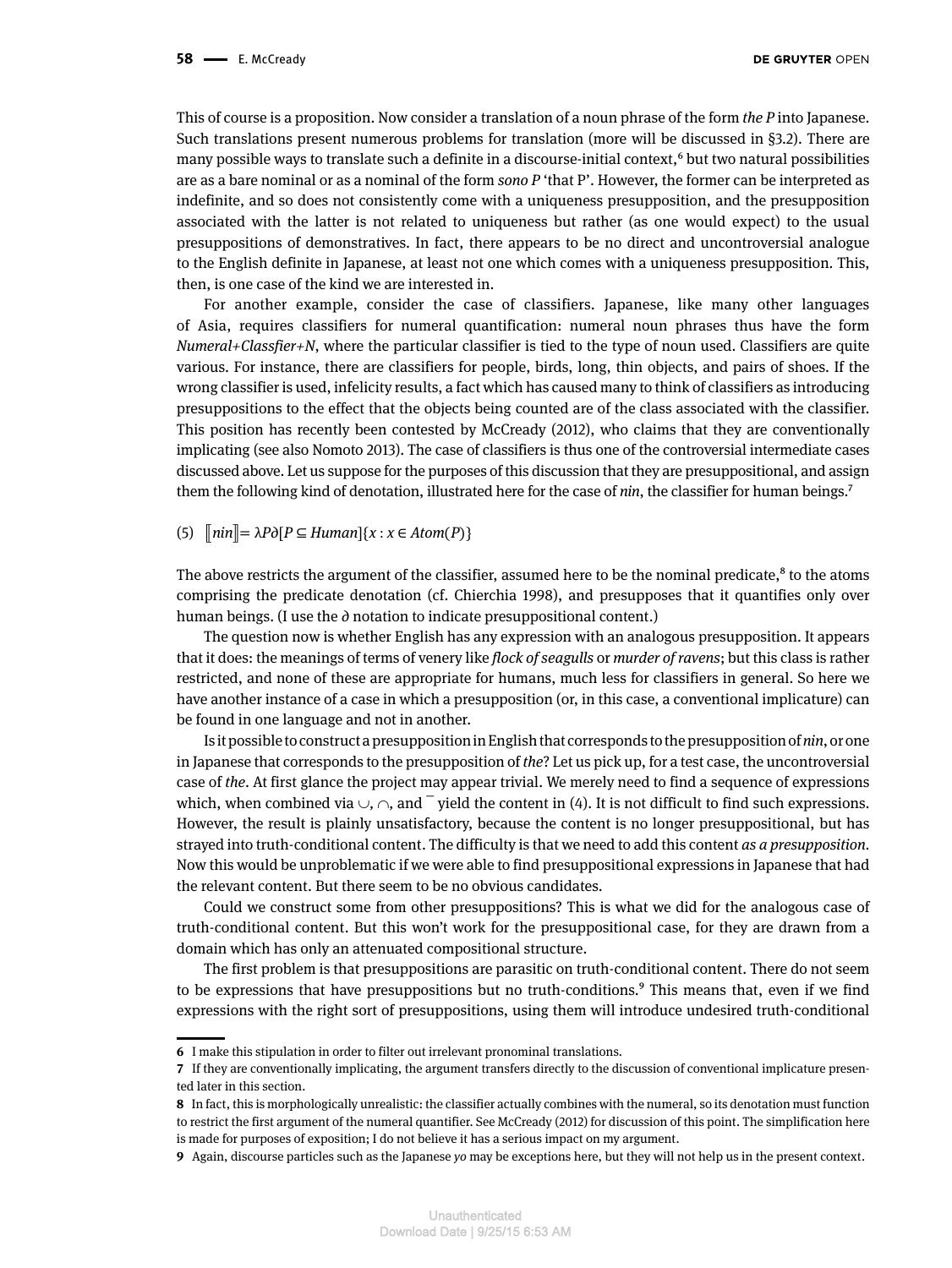This of course is a proposition. Now consider a translation of a noun phrase of the form *the P* into Japanese. Such translations present numerous problems for translation (more will be discussed in §3.2). There are many possible ways to translate such a definite in a discourse-initial context,<sup>6</sup> but two natural possibilities are as a bare nominal or as a nominal of the form *sono P* 'that P'. However, the former can be interpreted as indefinite, and so does not consistently come with a uniqueness presupposition, and the presupposition associated with the latter is not related to uniqueness but rather (as one would expect) to the usual presuppositions of demonstratives. In fact, there appears to be no direct and uncontroversial analogue to the English definite in Japanese, at least not one which comes with a uniqueness presupposition. This, then, is one case of the kind we are interested in.

For another example, consider the case of classifiers. Japanese, like many other languages of Asia, requires classifiers for numeral quantification: numeral noun phrases thus have the form *Numeral+Classfier+N*, where the particular classifier is tied to the type of noun used. Classifiers are quite various. For instance, there are classifiers for people, birds, long, thin objects, and pairs of shoes. If the wrong classifier is used, infelicity results, a fact which has caused many to think of classifiers as introducing presuppositions to the effect that the objects being counted are of the class associated with the classifier. This position has recently been contested by McCready (2012), who claims that they are conventionally implicating (see also Nomoto 2013). The case of classifiers is thus one of the controversial intermediate cases discussed above. Let us suppose for the purposes of this discussion that they are presuppositional, and assign them the following kind of denotation, illustrated here for the case of *nin*, the classifier for human beings.7

#### (5) �*nin*�= λ*P∂*[*P* ⊆ *Human*]{*x* : *x* ∈ *Atom*(*P*)}

The above restricts the argument of the classifier, assumed here to be the nominal predicate, $^8$  to the atoms comprising the predicate denotation (cf. Chierchia 1998), and presupposes that it quantifies only over human beings. (I use the *∂* notation to indicate presuppositional content.)

The question now is whether English has any expression with an analogous presupposition. It appears that it does: the meanings of terms of venery like *flock of seagulls* or *murder of ravens*; but this class is rather restricted, and none of these are appropriate for humans, much less for classifiers in general. So here we have another instance of a case in which a presupposition (or, in this case, a conventional implicature) can be found in one language and not in another.

Is it possible to construct a presupposition in English that corresponds to the presupposition of *nin*, or one in Japanese that corresponds to the presupposition of *the*? Let us pick up, for a test case, the uncontroversial case of *the*. At first glance the project may appear trivial. We merely need to find a sequence of expressions which, when combined via  $\cup$ ,  $\cap$ , and  $\overline{\phantom{a}}$  yield the content in (4). It is not difficult to find such expressions. However, the result is plainly unsatisfactory, because the content is no longer presuppositional, but has strayed into truth-conditional content. The difficulty is that we need to add this content *as a presupposition*. Now this would be unproblematic if we were able to find presuppositional expressions in Japanese that had the relevant content. But there seem to be no obvious candidates.

Could we construct some from other presuppositions? This is what we did for the analogous case of truth-conditional content. But this won't work for the presuppositional case, for they are drawn from a domain which has only an attenuated compositional structure.

The first problem is that presuppositions are parasitic on truth-conditional content. There do not seem to be expressions that have presuppositions but no truth-conditions.<sup>9</sup> This means that, even if we find expressions with the right sort of presuppositions, using them will introduce undesired truth-conditional

**<sup>6</sup>** I make this stipulation in order to filter out irrelevant pronominal translations.

**<sup>7</sup>** If they are conventionally implicating, the argument transfers directly to the discussion of conventional implicature presented later in this section.

**<sup>8</sup>** In fact, this is morphologically unrealistic: the classifier actually combines with the numeral, so its denotation must function to restrict the first argument of the numeral quantifier. See McCready (2012) for discussion of this point. The simplification here is made for purposes of exposition; I do not believe it has a serious impact on my argument.

**<sup>9</sup>** Again, discourse particles such as the Japanese *yo* may be exceptions here, but they will not help us in the present context.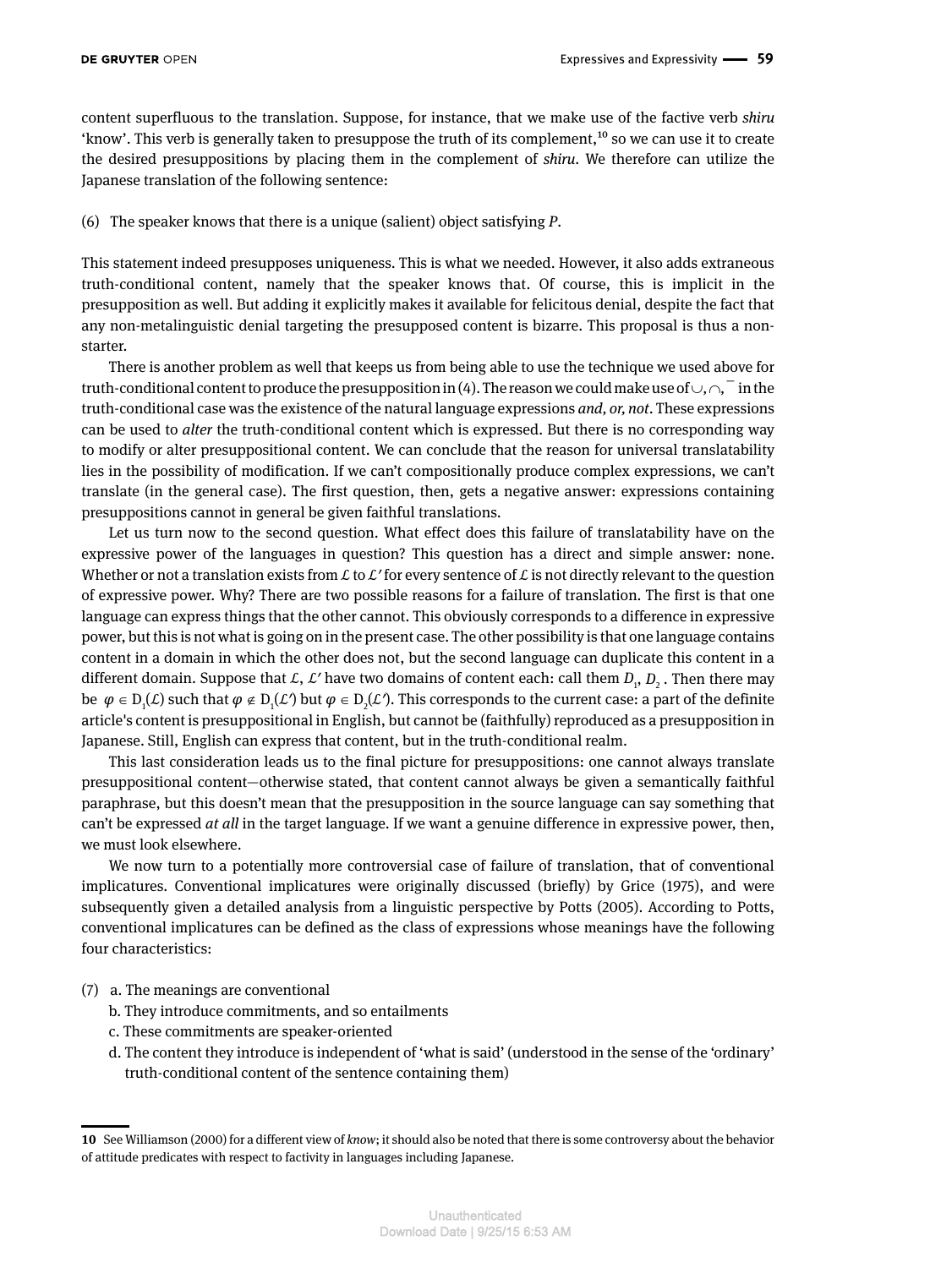content superfluous to the translation. Suppose, for instance, that we make use of the factive verb *shiru* 'know'. This verb is generally taken to presuppose the truth of its complement,10 so we can use it to create the desired presuppositions by placing them in the complement of *shiru*. We therefore can utilize the Japanese translation of the following sentence:

#### (6) The speaker knows that there is a unique (salient) object satisfying *P*.

This statement indeed presupposes uniqueness. This is what we needed. However, it also adds extraneous truth-conditional content, namely that the speaker knows that. Of course, this is implicit in the presupposition as well. But adding it explicitly makes it available for felicitous denial, despite the fact that any non-metalinguistic denial targeting the presupposed content is bizarre. This proposal is thus a nonstarter.

There is another problem as well that keeps us from being able to use the technique we used above for truth-conditional content to produce the presupposition in (4). The reason we could make use of ∪,  $\cap$ ,  $\bar{\}$  in the truth-conditional case was the existence of the natural language expressions *and, or, not*. These expressions can be used to *alter* the truth-conditional content which is expressed. But there is no corresponding way to modify or alter presuppositional content. We can conclude that the reason for universal translatability lies in the possibility of modification. If we can't compositionally produce complex expressions, we can't translate (in the general case). The first question, then, gets a negative answer: expressions containing presuppositions cannot in general be given faithful translations.

Let us turn now to the second question. What effect does this failure of translatability have on the expressive power of the languages in question? This question has a direct and simple answer: none. Whether or not a translation exists from L to L' for every sentence of L is not directly relevant to the question of expressive power. Why? There are two possible reasons for a failure of translation. The first is that one language can express things that the other cannot. This obviously corresponds to a difference in expressive power, but this is not what is going on in the present case. The other possibility is that one language contains content in a domain in which the other does not, but the second language can duplicate this content in a different domain. Suppose that L, L' have two domains of content each: call them  $D_1$ ,  $D_2$ . Then there may be  $\varphi \in D_1(\mathcal{L})$  such that  $\varphi \notin D_1(\mathcal{L}')$  but  $\varphi \in D_2(\mathcal{L}')$ . This corresponds to the current case: a part of the definite article's content is presuppositional in English, but cannot be (faithfully) reproduced as a presupposition in Japanese. Still, English can express that content, but in the truth-conditional realm.

This last consideration leads us to the final picture for presuppositions: one cannot always translate presuppositional content—otherwise stated, that content cannot always be given a semantically faithful paraphrase, but this doesn't mean that the presupposition in the source language can say something that can't be expressed *at all* in the target language. If we want a genuine difference in expressive power, then, we must look elsewhere.

We now turn to a potentially more controversial case of failure of translation, that of conventional implicatures. Conventional implicatures were originally discussed (briefly) by Grice (1975), and were subsequently given a detailed analysis from a linguistic perspective by Potts (2005). According to Potts, conventional implicatures can be defined as the class of expressions whose meanings have the following four characteristics:

#### (7) a. The meanings are conventional

- b. They introduce commitments, and so entailments
- c. These commitments are speaker-oriented
- d. The content they introduce is independent of 'what is said' (understood in the sense of the 'ordinary' truth-conditional content of the sentence containing them)

**<sup>10</sup>** See Williamson (2000) for a different view of *know*; it should also be noted that there is some controversy about the behavior of attitude predicates with respect to factivity in languages including Japanese.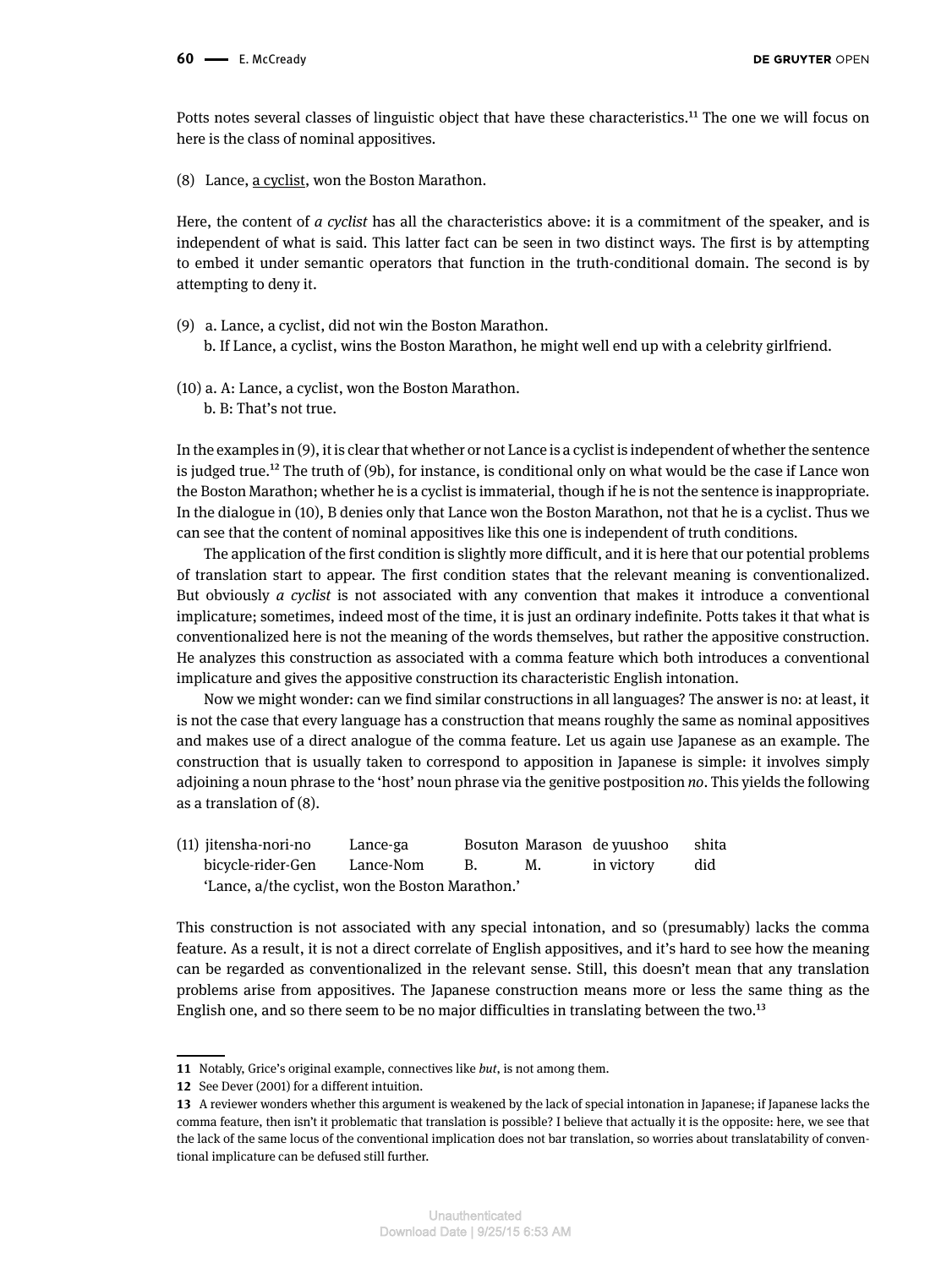Potts notes several classes of linguistic object that have these characteristics.<sup>11</sup> The one we will focus on here is the class of nominal appositives.

(8) Lance, a cyclist, won the Boston Marathon.

Here, the content of *a cyclist* has all the characteristics above: it is a commitment of the speaker, and is independent of what is said. This latter fact can be seen in two distinct ways. The first is by attempting to embed it under semantic operators that function in the truth-conditional domain. The second is by attempting to deny it.

- (9) a. Lance, a cyclist, did not win the Boston Marathon. b. If Lance, a cyclist, wins the Boston Marathon, he might well end up with a celebrity girlfriend.
- (10) a. A: Lance, a cyclist, won the Boston Marathon. b. B: That's not true.

In the examples in (9), it is clear that whether or not Lance is a cyclist is independent of whether the sentence is judged true.12 The truth of (9b), for instance, is conditional only on what would be the case if Lance won the Boston Marathon; whether he is a cyclist is immaterial, though if he is not the sentence is inappropriate. In the dialogue in (10), B denies only that Lance won the Boston Marathon, not that he is a cyclist. Thus we can see that the content of nominal appositives like this one is independent of truth conditions.

The application of the first condition is slightly more difficult, and it is here that our potential problems of translation start to appear. The first condition states that the relevant meaning is conventionalized. But obviously *a cyclist* is not associated with any convention that makes it introduce a conventional implicature; sometimes, indeed most of the time, it is just an ordinary indefinite. Potts takes it that what is conventionalized here is not the meaning of the words themselves, but rather the appositive construction. He analyzes this construction as associated with a comma feature which both introduces a conventional implicature and gives the appositive construction its characteristic English intonation.

Now we might wonder: can we find similar constructions in all languages? The answer is no: at least, it is not the case that every language has a construction that means roughly the same as nominal appositives and makes use of a direct analogue of the comma feature. Let us again use Japanese as an example. The construction that is usually taken to correspond to apposition in Japanese is simple: it involves simply adjoining a noun phrase to the 'host' noun phrase via the genitive postposition *no*. This yields the following as a translation of (8).

(11) jitensha-nori-no Lance-ga Bosuton Marason de yuushoo shita bicycle-rider-Gen Lance-Nom B. M. in victory did 'Lance, a/the cyclist, won the Boston Marathon.'

This construction is not associated with any special intonation, and so (presumably) lacks the comma feature. As a result, it is not a direct correlate of English appositives, and it's hard to see how the meaning can be regarded as conventionalized in the relevant sense. Still, this doesn't mean that any translation problems arise from appositives. The Japanese construction means more or less the same thing as the English one, and so there seem to be no major difficulties in translating between the two.<sup>13</sup>

**<sup>11</sup>** Notably, Grice's original example, connectives like *but*, is not among them.

**<sup>12</sup>** See Dever (2001) for a different intuition.

**<sup>13</sup>** A reviewer wonders whether this argument is weakened by the lack of special intonation in Japanese; if Japanese lacks the comma feature, then isn't it problematic that translation is possible? I believe that actually it is the opposite: here, we see that the lack of the same locus of the conventional implication does not bar translation, so worries about translatability of conventional implicature can be defused still further.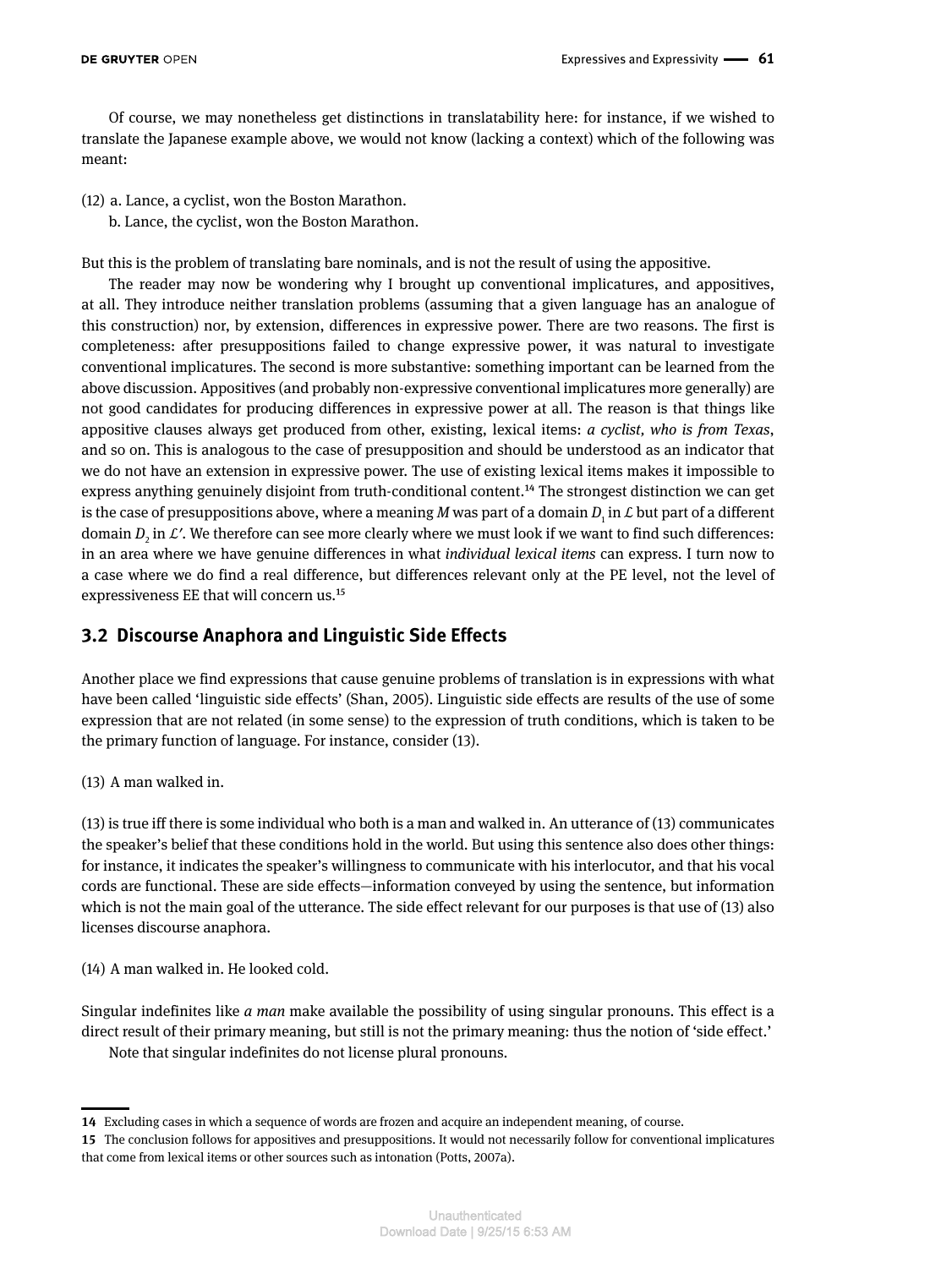Of course, we may nonetheless get distinctions in translatability here: for instance, if we wished to translate the Japanese example above, we would not know (lacking a context) which of the following was meant:

- (12) a. Lance, a cyclist, won the Boston Marathon.
	- b. Lance, the cyclist, won the Boston Marathon.

But this is the problem of translating bare nominals, and is not the result of using the appositive.

The reader may now be wondering why I brought up conventional implicatures, and appositives, at all. They introduce neither translation problems (assuming that a given language has an analogue of this construction) nor, by extension, differences in expressive power. There are two reasons. The first is completeness: after presuppositions failed to change expressive power, it was natural to investigate conventional implicatures. The second is more substantive: something important can be learned from the above discussion. Appositives (and probably non-expressive conventional implicatures more generally) are not good candidates for producing differences in expressive power at all. The reason is that things like appositive clauses always get produced from other, existing, lexical items: *a cyclist, who is from Texas*, and so on. This is analogous to the case of presupposition and should be understood as an indicator that we do not have an extension in expressive power. The use of existing lexical items makes it impossible to express anything genuinely disjoint from truth-conditional content.<sup>14</sup> The strongest distinction we can get is the case of presuppositions above, where a meaning  $M$  was part of a domain  $D_{_1}$  in  ${\mathcal L}$  but part of a different domain  $D_2$  in  $\mathcal{L}'$ . We therefore can see more clearly where we must look if we want to find such differences: in an area where we have genuine differences in what *individual lexical items* can express. I turn now to a case where we do find a real difference, but differences relevant only at the PE level, not the level of expressiveness EE that will concern us.15

### **3.2 Discourse Anaphora and Linguistic Side Effects**

Another place we find expressions that cause genuine problems of translation is in expressions with what have been called 'linguistic side effects' (Shan, 2005). Linguistic side effects are results of the use of some expression that are not related (in some sense) to the expression of truth conditions, which is taken to be the primary function of language. For instance, consider (13).

(13) A man walked in.

(13) is true iff there is some individual who both is a man and walked in. An utterance of (13) communicates the speaker's belief that these conditions hold in the world. But using this sentence also does other things: for instance, it indicates the speaker's willingness to communicate with his interlocutor, and that his vocal cords are functional. These are side effects—information conveyed by using the sentence, but information which is not the main goal of the utterance. The side effect relevant for our purposes is that use of (13) also licenses discourse anaphora.

(14) A man walked in. He looked cold.

Singular indefinites like *a man* make available the possibility of using singular pronouns. This effect is a direct result of their primary meaning, but still is not the primary meaning: thus the notion of 'side effect.' Note that singular indefinites do not license plural pronouns.

**<sup>14</sup>** Excluding cases in which a sequence of words are frozen and acquire an independent meaning, of course.

**<sup>15</sup>** The conclusion follows for appositives and presuppositions. It would not necessarily follow for conventional implicatures that come from lexical items or other sources such as intonation (Potts, 2007a).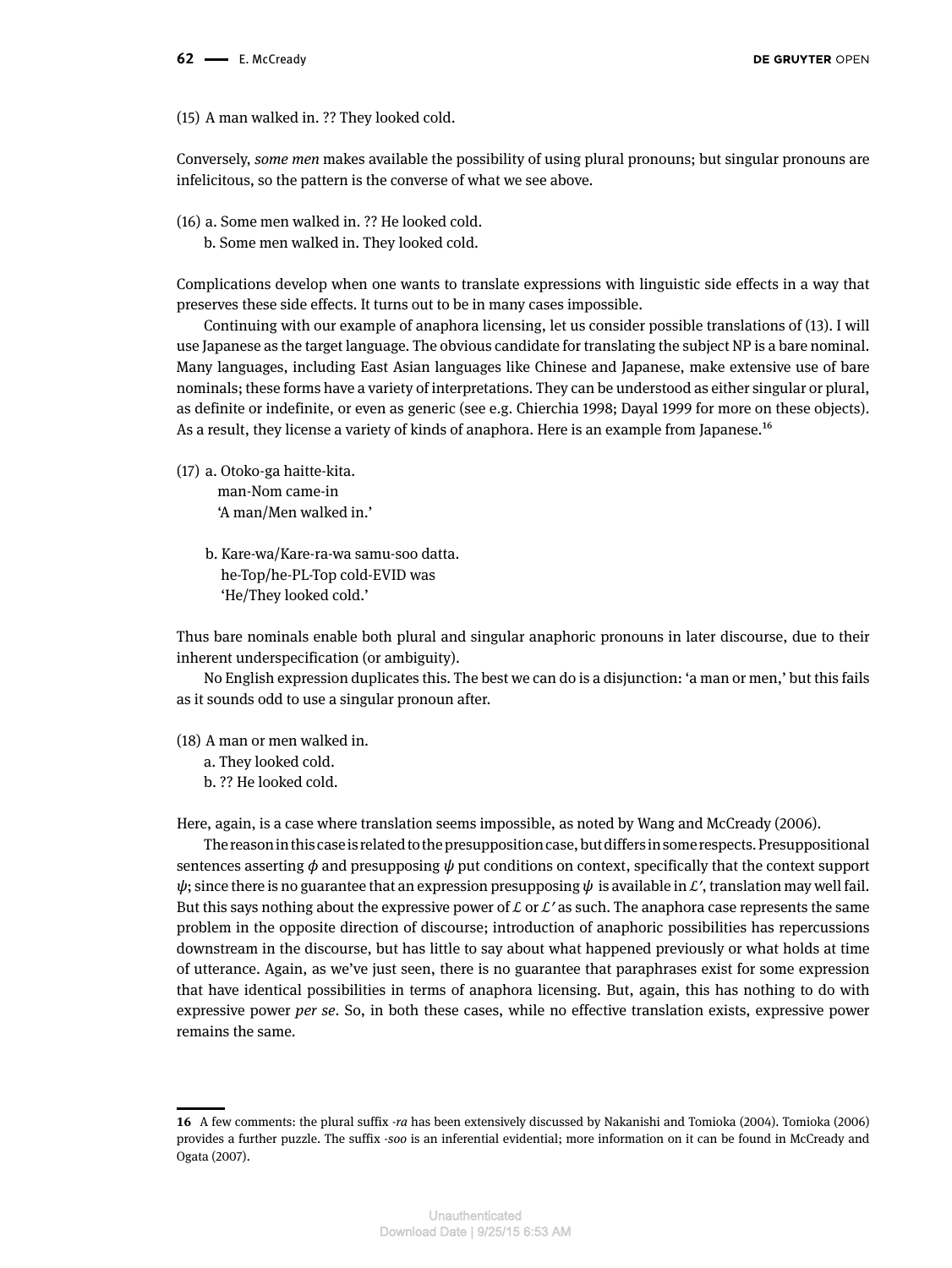(15) A man walked in. ?? They looked cold.

Conversely, *some men* makes available the possibility of using plural pronouns; but singular pronouns are infelicitous, so the pattern is the converse of what we see above.

(16) a. Some men walked in. ?? He looked cold.

b. Some men walked in. They looked cold.

Complications develop when one wants to translate expressions with linguistic side effects in a way that preserves these side effects. It turns out to be in many cases impossible.

Continuing with our example of anaphora licensing, let us consider possible translations of (13). I will use Japanese as the target language. The obvious candidate for translating the subject NP is a bare nominal. Many languages, including East Asian languages like Chinese and Japanese, make extensive use of bare nominals; these forms have a variety of interpretations. They can be understood as either singular or plural, as definite or indefinite, or even as generic (see e.g. Chierchia 1998; Dayal 1999 for more on these objects). As a result, they license a variety of kinds of anaphora. Here is an example from Japanese.<sup>16</sup>

(17) a. Otoko-ga haitte-kita. man-Nom came-in 'A man/Men walked in.'

> b. Kare-wa/Kare-ra-wa samu-soo datta. he-Top/he-PL-Top cold-EVID was 'He/They looked cold.'

Thus bare nominals enable both plural and singular anaphoric pronouns in later discourse, due to their inherent underspecification (or ambiguity).

No English expression duplicates this. The best we can do is a disjunction: 'a man or men,' but this fails as it sounds odd to use a singular pronoun after.

(18) A man or men walked in.

a. They looked cold.

b. ?? He looked cold.

Here, again, is a case where translation seems impossible, as noted by Wang and McCready (2006).

The reason in this case is related to the presupposition case, but differs in some respects. Presuppositional sentences asserting *ϕ* and presupposing *ψ* put conditions on context, specifically that the context support *ψ*; since there is no guarantee that an expression presupposing *ψ* is available in ℒ*ʹ*, translation may well fail. But this says nothing about the expressive power of  $\mathcal L$  or  $\mathcal L'$  as such. The anaphora case represents the same problem in the opposite direction of discourse; introduction of anaphoric possibilities has repercussions downstream in the discourse, but has little to say about what happened previously or what holds at time of utterance. Again, as we've just seen, there is no guarantee that paraphrases exist for some expression that have identical possibilities in terms of anaphora licensing. But, again, this has nothing to do with expressive power *per se*. So, in both these cases, while no effective translation exists, expressive power remains the same.

**<sup>16</sup>** A few comments: the plural suffix *-ra* has been extensively discussed by Nakanishi and Tomioka (2004). Tomioka (2006) provides a further puzzle. The suffix -*soo* is an inferential evidential; more information on it can be found in McCready and Ogata (2007).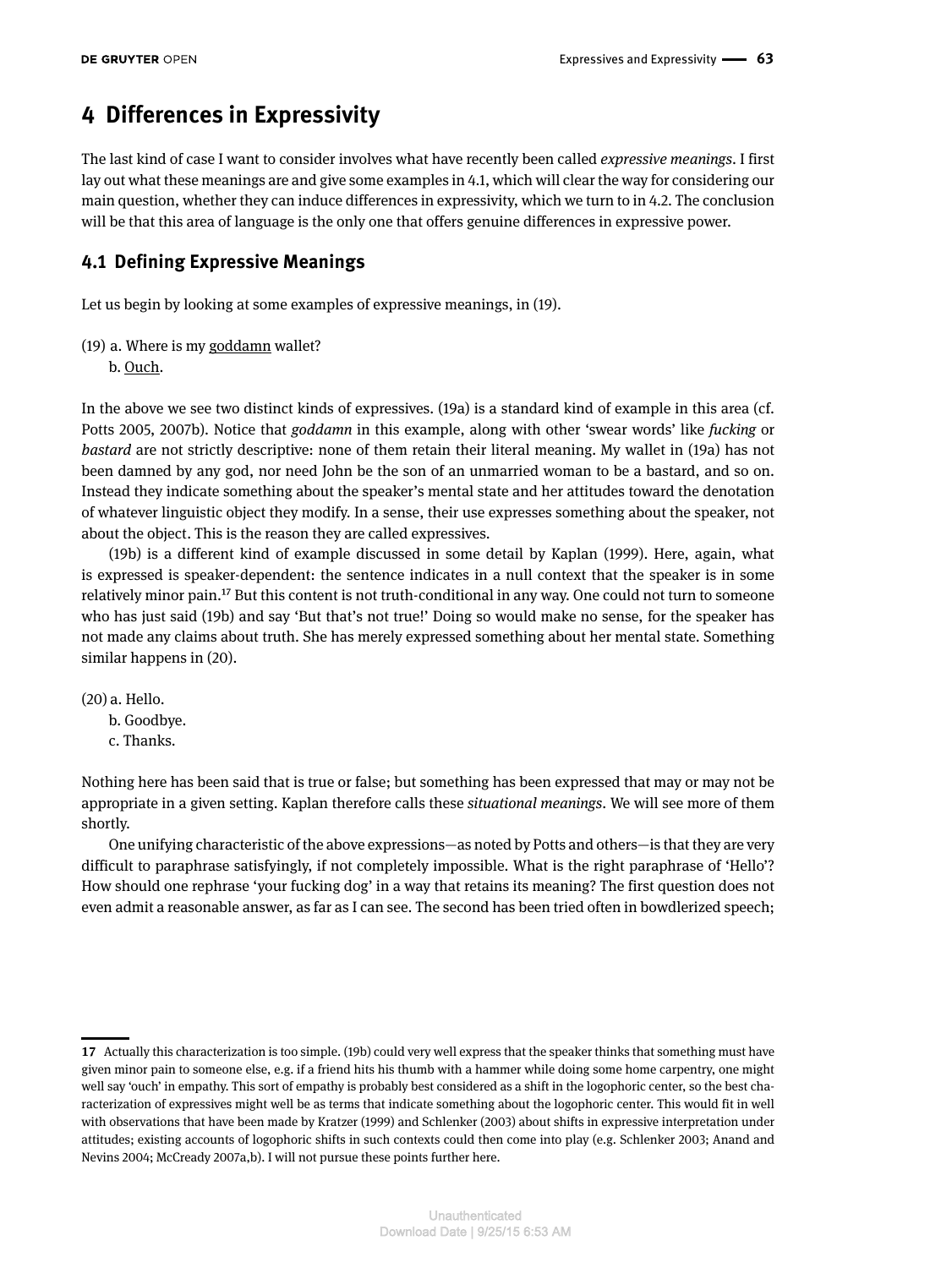## **4 Differences in Expressivity**

The last kind of case I want to consider involves what have recently been called *expressive meanings*. I first lay out what these meanings are and give some examples in 4.1, which will clear the way for considering our main question, whether they can induce differences in expressivity, which we turn to in 4.2. The conclusion will be that this area of language is the only one that offers genuine differences in expressive power.

### **4.1 Defining Expressive Meanings**

Let us begin by looking at some examples of expressive meanings, in (19).

(19) a. Where is my goddamn wallet?

b. Ouch.

In the above we see two distinct kinds of expressives. (19a) is a standard kind of example in this area (cf. Potts 2005, 2007b). Notice that *goddamn* in this example, along with other 'swear words' like *fucking* or *bastard* are not strictly descriptive: none of them retain their literal meaning. My wallet in (19a) has not been damned by any god, nor need John be the son of an unmarried woman to be a bastard, and so on. Instead they indicate something about the speaker's mental state and her attitudes toward the denotation of whatever linguistic object they modify. In a sense, their use expresses something about the speaker, not about the object. This is the reason they are called expressives.

(19b) is a different kind of example discussed in some detail by Kaplan (1999). Here, again, what is expressed is speaker-dependent: the sentence indicates in a null context that the speaker is in some relatively minor pain.17 But this content is not truth-conditional in any way. One could not turn to someone who has just said (19b) and say 'But that's not true!' Doing so would make no sense, for the speaker has not made any claims about truth. She has merely expressed something about her mental state. Something similar happens in (20).

(20) a. Hello.

b. Goodbye.

c. Thanks.

Nothing here has been said that is true or false; but something has been expressed that may or may not be appropriate in a given setting. Kaplan therefore calls these *situational meanings*. We will see more of them shortly.

One unifying characteristic of the above expressions—as noted by Potts and others—is that they are very difficult to paraphrase satisfyingly, if not completely impossible. What is the right paraphrase of 'Hello'? How should one rephrase 'your fucking dog' in a way that retains its meaning? The first question does not even admit a reasonable answer, as far as I can see. The second has been tried often in bowdlerized speech;

**<sup>17</sup>** Actually this characterization is too simple. (19b) could very well express that the speaker thinks that something must have given minor pain to someone else, e.g. if a friend hits his thumb with a hammer while doing some home carpentry, one might well say 'ouch' in empathy. This sort of empathy is probably best considered as a shift in the logophoric center, so the best characterization of expressives might well be as terms that indicate something about the logophoric center. This would fit in well with observations that have been made by Kratzer (1999) and Schlenker (2003) about shifts in expressive interpretation under attitudes; existing accounts of logophoric shifts in such contexts could then come into play (e.g. Schlenker 2003; Anand and Nevins 2004; McCready 2007a,b). I will not pursue these points further here.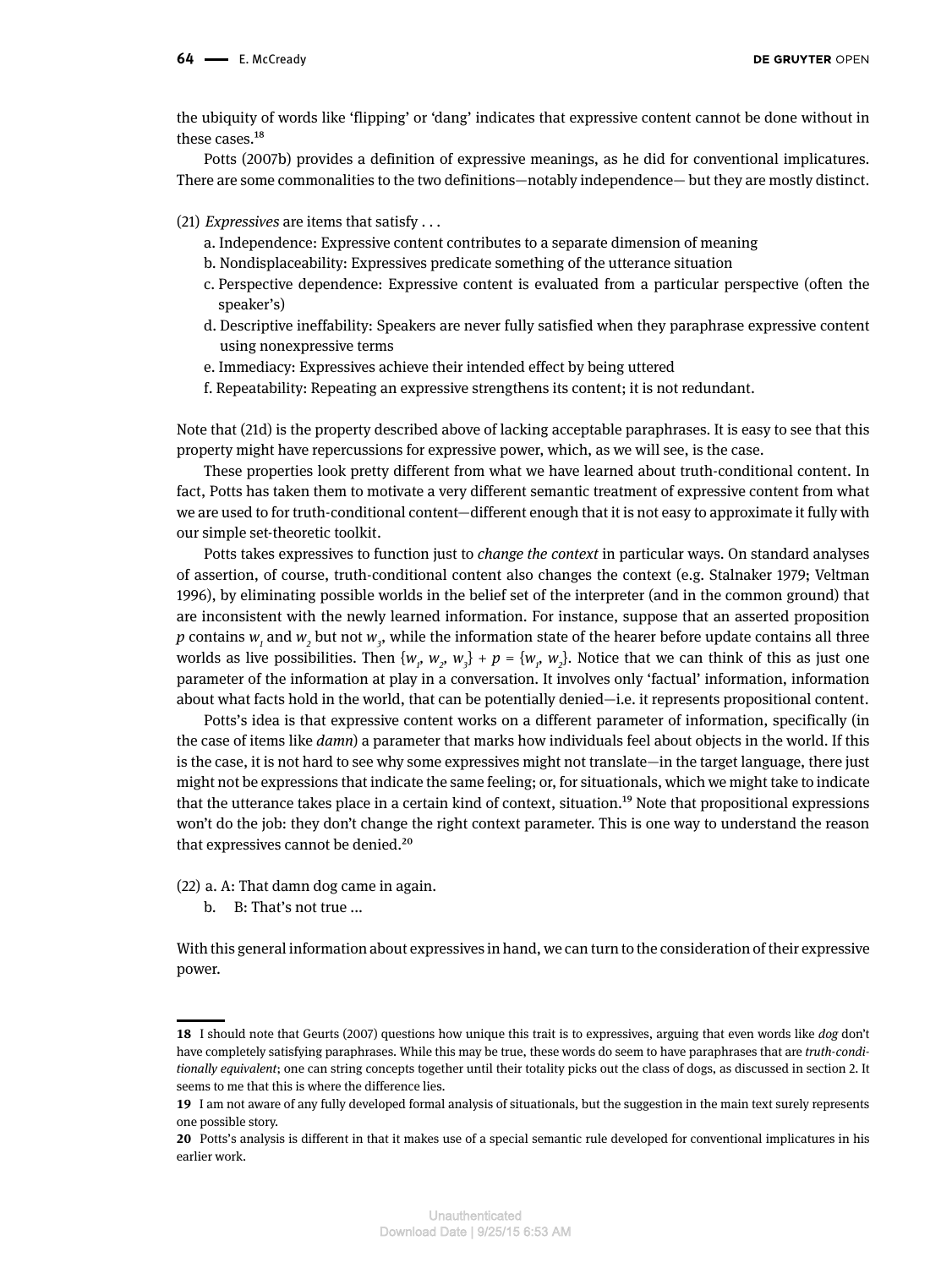the ubiquity of words like 'flipping' or 'dang' indicates that expressive content cannot be done without in these cases.18

Potts (2007b) provides a definition of expressive meanings, as he did for conventional implicatures. There are some commonalities to the two definitions—notably independence— but they are mostly distinct.

- (21) *Expressives* are items that satisfy . . .
	- a. Independence: Expressive content contributes to a separate dimension of meaning
	- b. Nondisplaceability: Expressives predicate something of the utterance situation
	- c. Perspective dependence: Expressive content is evaluated from a particular perspective (often the speaker's)
	- d. Descriptive ineffability: Speakers are never fully satisfied when they paraphrase expressive content using nonexpressive terms
	- e. Immediacy: Expressives achieve their intended effect by being uttered
	- f. Repeatability: Repeating an expressive strengthens its content; it is not redundant.

Note that (21d) is the property described above of lacking acceptable paraphrases. It is easy to see that this property might have repercussions for expressive power, which, as we will see, is the case.

These properties look pretty different from what we have learned about truth-conditional content. In fact, Potts has taken them to motivate a very different semantic treatment of expressive content from what we are used to for truth-conditional content—different enough that it is not easy to approximate it fully with our simple set-theoretic toolkit.

Potts takes expressives to function just to *change the context* in particular ways. On standard analyses of assertion, of course, truth-conditional content also changes the context (e.g. Stalnaker 1979; Veltman 1996), by eliminating possible worlds in the belief set of the interpreter (and in the common ground) that are inconsistent with the newly learned information. For instance, suppose that an asserted proposition  $p$  contains  $w_{_I}$  and  $w_{_2}$  but not  $w_{_3}$ , while the information state of the hearer before update contains all three worlds as live possibilities. Then  $\{w_p, w_p, w_3\} + p = \{w_p, w_2\}$ . Notice that we can think of this as just one parameter of the information at play in a conversation. It involves only 'factual' information, information about what facts hold in the world, that can be potentially denied—i.e. it represents propositional content.

Potts's idea is that expressive content works on a different parameter of information, specifically (in the case of items like *damn*) a parameter that marks how individuals feel about objects in the world. If this is the case, it is not hard to see why some expressives might not translate—in the target language, there just might not be expressions that indicate the same feeling; or, for situationals, which we might take to indicate that the utterance takes place in a certain kind of context, situation.19 Note that propositional expressions won't do the job: they don't change the right context parameter. This is one way to understand the reason that expressives cannot be denied.20

- (22) a. A: That damn dog came in again.
	- b. B: That's not true ...

With this general information about expressives in hand, we can turn to the consideration of their expressive power.

**<sup>18</sup>** I should note that Geurts (2007) questions how unique this trait is to expressives, arguing that even words like *dog* don't have completely satisfying paraphrases. While this may be true, these words do seem to have paraphrases that are *truth-conditionally equivalent*; one can string concepts together until their totality picks out the class of dogs, as discussed in section 2. It seems to me that this is where the difference lies.

**<sup>19</sup>** I am not aware of any fully developed formal analysis of situationals, but the suggestion in the main text surely represents one possible story.

**<sup>20</sup>** Potts's analysis is different in that it makes use of a special semantic rule developed for conventional implicatures in his earlier work.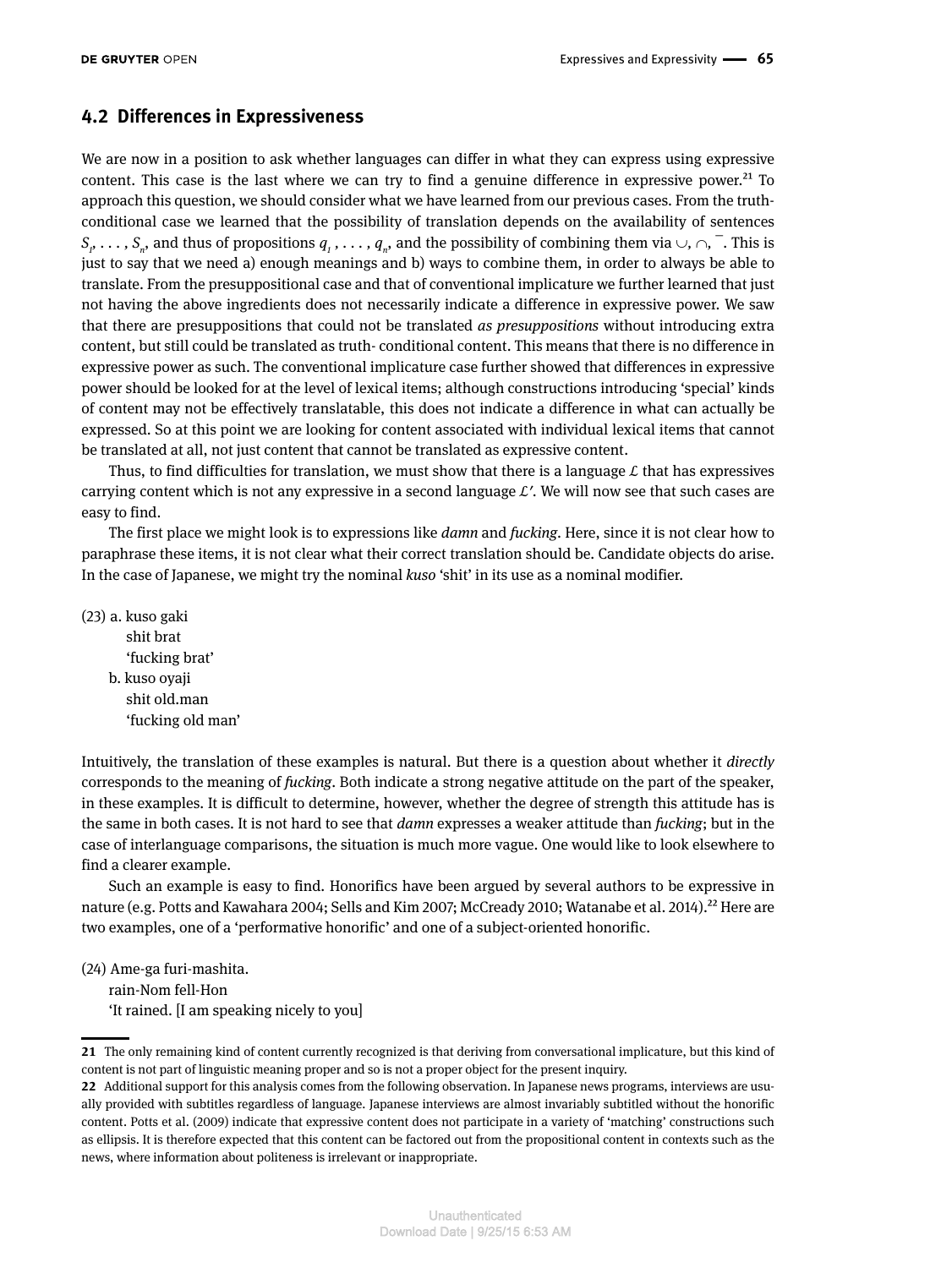### **4.2 Differences in Expressiveness**

We are now in a position to ask whether languages can differ in what they can express using expressive content. This case is the last where we can try to find a genuine difference in expressive power.<sup>21</sup> To approach this question, we should consider what we have learned from our previous cases. From the truthconditional case we learned that the possibility of translation depends on the availability of sentences  $S_p$ ,  $\ldots$ ,  $S_n$ , and thus of propositions  $q_1$ ,  $\ldots$ ,  $q_n$ , and the possibility of combining them via ∪, ∩,  $\bar{\ }$ . This is just to say that we need a) enough meanings and b) ways to combine them, in order to always be able to translate. From the presuppositional case and that of conventional implicature we further learned that just not having the above ingredients does not necessarily indicate a difference in expressive power. We saw that there are presuppositions that could not be translated *as presuppositions* without introducing extra content, but still could be translated as truth- conditional content. This means that there is no difference in expressive power as such. The conventional implicature case further showed that differences in expressive power should be looked for at the level of lexical items; although constructions introducing 'special' kinds of content may not be effectively translatable, this does not indicate a difference in what can actually be expressed. So at this point we are looking for content associated with individual lexical items that cannot be translated at all, not just content that cannot be translated as expressive content.

Thus, to find difficulties for translation, we must show that there is a language  $\mathcal L$  that has expressives carrying content which is not any expressive in a second language ℒ*ʹ*. We will now see that such cases are easy to find.

The first place we might look is to expressions like *damn* and *fucking*. Here, since it is not clear how to paraphrase these items, it is not clear what their correct translation should be. Candidate objects do arise. In the case of Japanese, we might try the nominal *kuso* 'shit' in its use as a nominal modifier.

(23) a. kuso gaki shit brat 'fucking brat' b. kuso oyaji shit old.man 'fucking old man'

Intuitively, the translation of these examples is natural. But there is a question about whether it *directly* corresponds to the meaning of *fucking*. Both indicate a strong negative attitude on the part of the speaker, in these examples. It is difficult to determine, however, whether the degree of strength this attitude has is the same in both cases. It is not hard to see that *damn* expresses a weaker attitude than *fucking*; but in the case of interlanguage comparisons, the situation is much more vague. One would like to look elsewhere to find a clearer example.

Such an example is easy to find. Honorifics have been argued by several authors to be expressive in nature (e.g. Potts and Kawahara 2004; Sells and Kim 2007; McCready 2010; Watanabe et al. 2014).<sup>22</sup> Here are two examples, one of a 'performative honorific' and one of a subject-oriented honorific.

(24) Ame-ga furi-mashita. rain-Nom fell-Hon 'It rained. [I am speaking nicely to you]

**<sup>21</sup>** The only remaining kind of content currently recognized is that deriving from conversational implicature, but this kind of content is not part of linguistic meaning proper and so is not a proper object for the present inquiry.

**<sup>22</sup>** Additional support for this analysis comes from the following observation. In Japanese news programs, interviews are usually provided with subtitles regardless of language. Japanese interviews are almost invariably subtitled without the honorific content. Potts et al. (2009) indicate that expressive content does not participate in a variety of 'matching' constructions such as ellipsis. It is therefore expected that this content can be factored out from the propositional content in contexts such as the news, where information about politeness is irrelevant or inappropriate.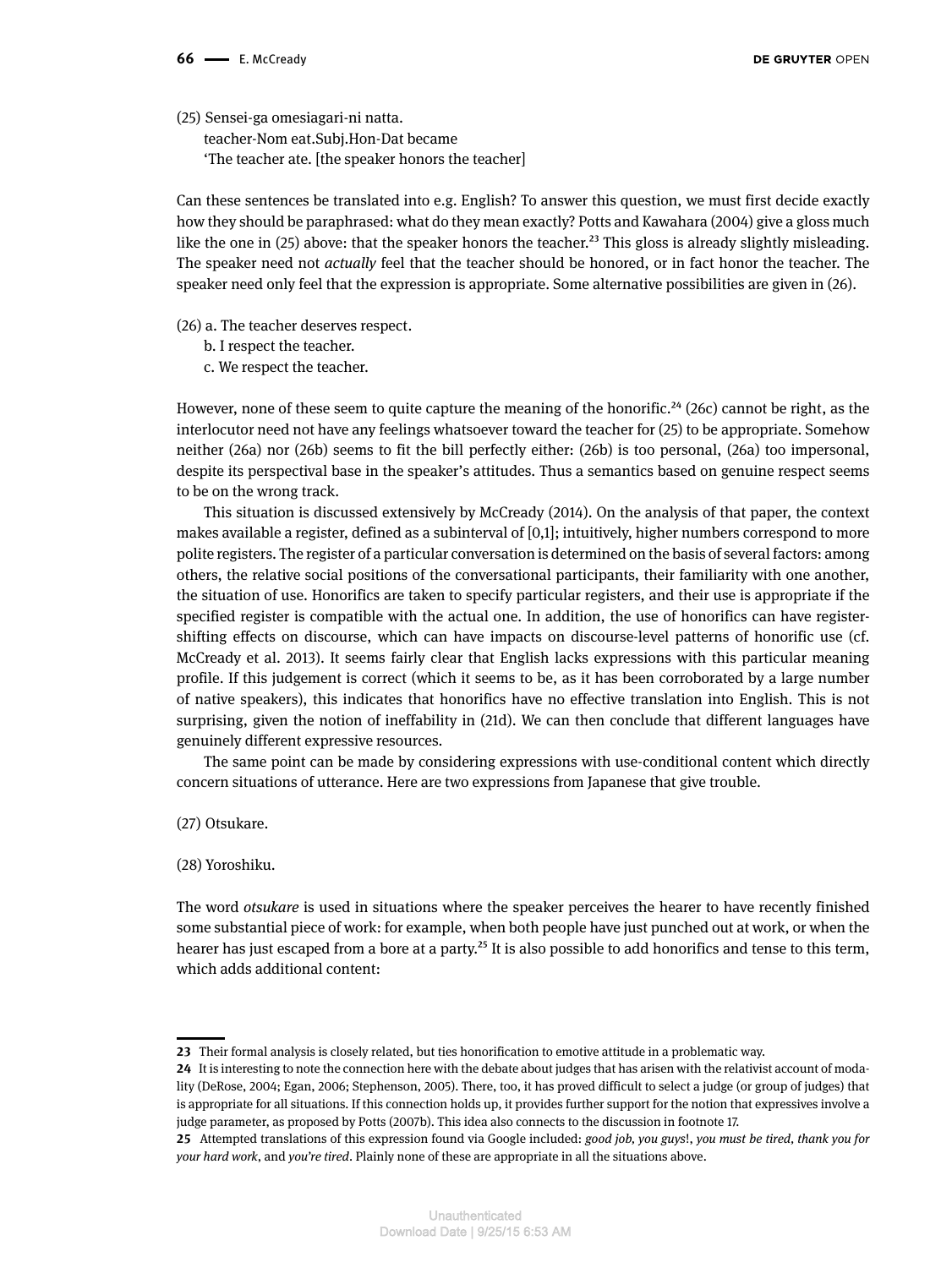(25) Sensei-ga omesiagari-ni natta.

teacher-Nom eat.Subj.Hon-Dat became 'The teacher ate. [the speaker honors the teacher]

Can these sentences be translated into e.g. English? To answer this question, we must first decide exactly how they should be paraphrased: what do they mean exactly? Potts and Kawahara (2004) give a gloss much like the one in (25) above: that the speaker honors the teacher.<sup>23</sup> This gloss is already slightly misleading. The speaker need not *actually* feel that the teacher should be honored, or in fact honor the teacher. The speaker need only feel that the expression is appropriate. Some alternative possibilities are given in (26).

(26) a. The teacher deserves respect.

- b. I respect the teacher.
- c. We respect the teacher.

However, none of these seem to quite capture the meaning of the honorific.<sup>24</sup> (26c) cannot be right, as the interlocutor need not have any feelings whatsoever toward the teacher for (25) to be appropriate. Somehow neither (26a) nor (26b) seems to fit the bill perfectly either: (26b) is too personal, (26a) too impersonal, despite its perspectival base in the speaker's attitudes. Thus a semantics based on genuine respect seems to be on the wrong track.

This situation is discussed extensively by McCready (2014). On the analysis of that paper, the context makes available a register, defined as a subinterval of [0,1]; intuitively, higher numbers correspond to more polite registers. The register of a particular conversation is determined on the basis of several factors: among others, the relative social positions of the conversational participants, their familiarity with one another, the situation of use. Honorifics are taken to specify particular registers, and their use is appropriate if the specified register is compatible with the actual one. In addition, the use of honorifics can have registershifting effects on discourse, which can have impacts on discourse-level patterns of honorific use (cf. McCready et al. 2013). It seems fairly clear that English lacks expressions with this particular meaning profile. If this judgement is correct (which it seems to be, as it has been corroborated by a large number of native speakers), this indicates that honorifics have no effective translation into English. This is not surprising, given the notion of ineffability in (21d). We can then conclude that different languages have genuinely different expressive resources.

The same point can be made by considering expressions with use-conditional content which directly concern situations of utterance. Here are two expressions from Japanese that give trouble.

(27) Otsukare.

(28) Yoroshiku.

The word *otsukare* is used in situations where the speaker perceives the hearer to have recently finished some substantial piece of work: for example, when both people have just punched out at work, or when the hearer has just escaped from a bore at a party.<sup>25</sup> It is also possible to add honorifics and tense to this term, which adds additional content:

**<sup>23</sup>** Their formal analysis is closely related, but ties honorification to emotive attitude in a problematic way.

**<sup>24</sup>** It is interesting to note the connection here with the debate about judges that has arisen with the relativist account of modality (DeRose, 2004; Egan, 2006; Stephenson, 2005). There, too, it has proved difficult to select a judge (or group of judges) that is appropriate for all situations. If this connection holds up, it provides further support for the notion that expressives involve a judge parameter, as proposed by Potts (2007b). This idea also connects to the discussion in footnote 17.

**<sup>25</sup>** Attempted translations of this expression found via Google included: *good job, you guys*!, *you must be tired, thank you for your hard work*, and *you're tired*. Plainly none of these are appropriate in all the situations above.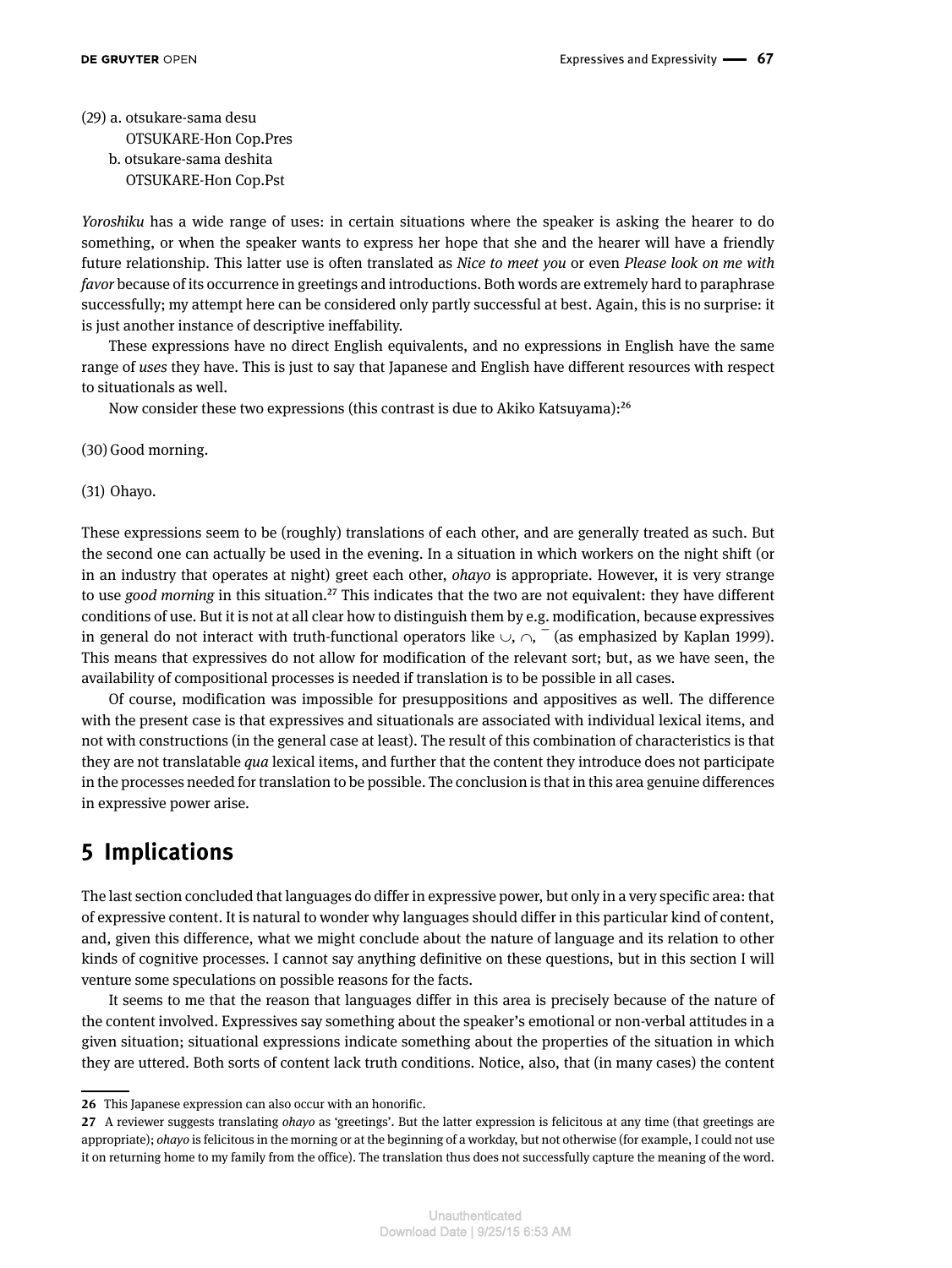(29) a. otsukare-sama desu

 OTSUKARE-Hon Cop.Pres b. otsukare-sama deshita

OTSUKARE-Hon Cop.Pst

*Yoroshiku* has a wide range of uses: in certain situations where the speaker is asking the hearer to do something, or when the speaker wants to express her hope that she and the hearer will have a friendly future relationship. This latter use is often translated as *Nice to meet you* or even *Please look on me with favor* because of its occurrence in greetings and introductions. Both words are extremely hard to paraphrase successfully; my attempt here can be considered only partly successful at best. Again, this is no surprise: it is just another instance of descriptive ineffability.

These expressions have no direct English equivalents, and no expressions in English have the same range of *uses* they have. This is just to say that Japanese and English have different resources with respect to situationals as well.

Now consider these two expressions (this contrast is due to Akiko Katsuyama):<sup>26</sup>

(30) Good morning.

(31) Ohayo.

These expressions seem to be (roughly) translations of each other, and are generally treated as such. But the second one can actually be used in the evening. In a situation in which workers on the night shift (or in an industry that operates at night) greet each other, *ohayo* is appropriate. However, it is very strange to use *good morning* in this situation.27 This indicates that the two are not equivalent: they have different conditions of use. But it is not at all clear how to distinguish them by e.g. modification, because expressives in general do not interact with truth-functional operators like  $\cup$ ,  $\cap$ ,  $\bar{\ }$  (as emphasized by Kaplan 1999). This means that expressives do not allow for modification of the relevant sort; but, as we have seen, the availability of compositional processes is needed if translation is to be possible in all cases.

Of course, modification was impossible for presuppositions and appositives as well. The difference with the present case is that expressives and situationals are associated with individual lexical items, and not with constructions (in the general case at least). The result of this combination of characteristics is that they are not translatable *qua* lexical items, and further that the content they introduce does not participate in the processes needed for translation to be possible. The conclusion is that in this area genuine differences in expressive power arise.

## **5 Implications**

The last section concluded that languages do differ in expressive power, but only in a very specific area: that of expressive content. It is natural to wonder why languages should differ in this particular kind of content, and, given this difference, what we might conclude about the nature of language and its relation to other kinds of cognitive processes. I cannot say anything definitive on these questions, but in this section I will venture some speculations on possible reasons for the facts.

It seems to me that the reason that languages differ in this area is precisely because of the nature of the content involved. Expressives say something about the speaker's emotional or non-verbal attitudes in a given situation; situational expressions indicate something about the properties of the situation in which they are uttered. Both sorts of content lack truth conditions. Notice, also, that (in many cases) the content

**<sup>26</sup>** This Japanese expression can also occur with an honorific.

**<sup>27</sup>** A reviewer suggests translating *ohayo* as 'greetings'. But the latter expression is felicitous at any time (that greetings are appropriate); *ohayo* is felicitous in the morning or at the beginning of a workday, but not otherwise (for example, I could not use it on returning home to my family from the office). The translation thus does not successfully capture the meaning of the word.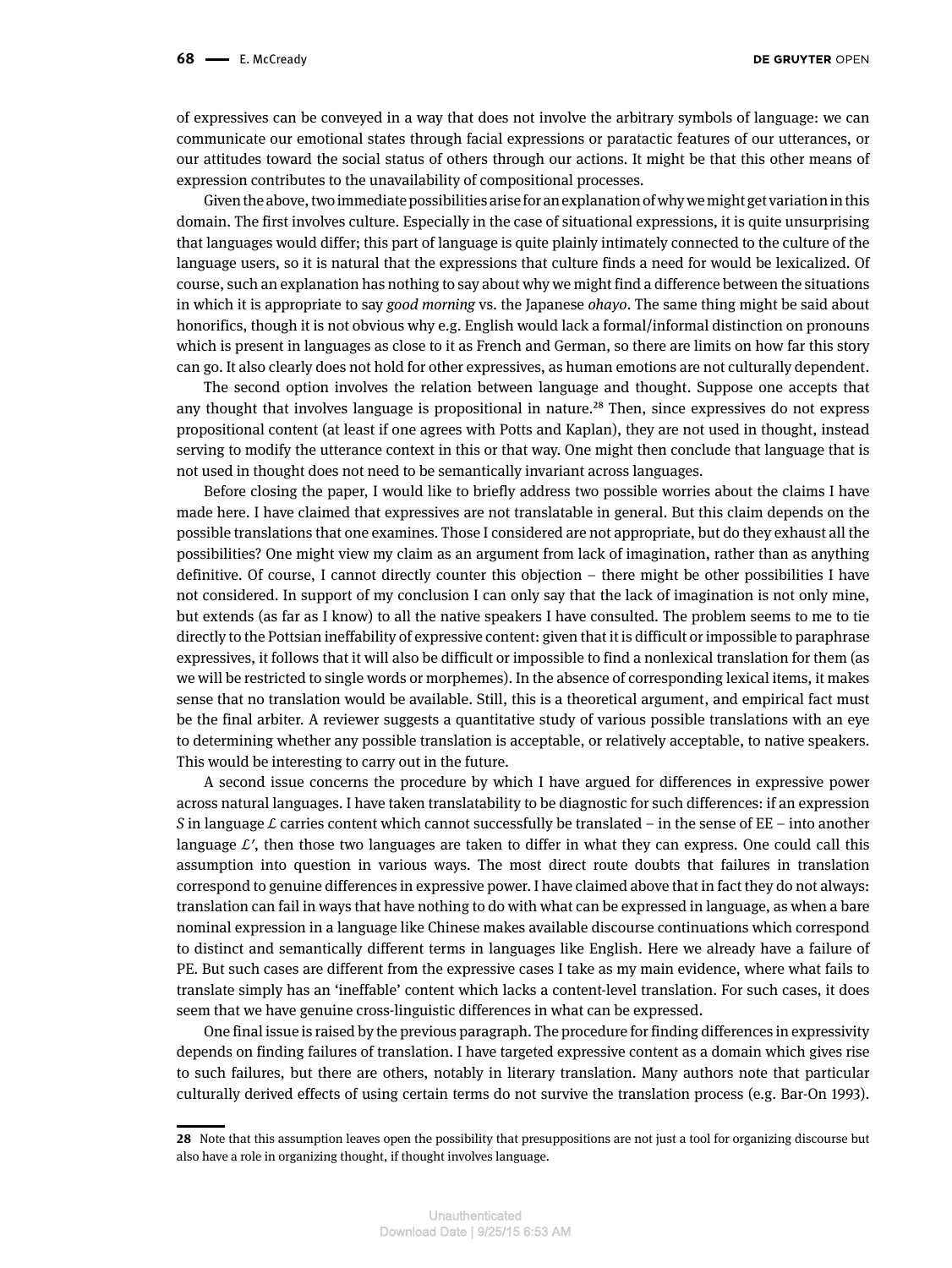of expressives can be conveyed in a way that does not involve the arbitrary symbols of language: we can communicate our emotional states through facial expressions or paratactic features of our utterances, or our attitudes toward the social status of others through our actions. It might be that this other means of expression contributes to the unavailability of compositional processes.

Given the above, two immediate possibilities arise for an explanation of why we might get variation in this domain. The first involves culture. Especially in the case of situational expressions, it is quite unsurprising that languages would differ; this part of language is quite plainly intimately connected to the culture of the language users, so it is natural that the expressions that culture finds a need for would be lexicalized. Of course, such an explanation has nothing to say about why we might find a difference between the situations in which it is appropriate to say *good morning* vs. the Japanese *ohayo*. The same thing might be said about honorifics, though it is not obvious why e.g. English would lack a formal/informal distinction on pronouns which is present in languages as close to it as French and German, so there are limits on how far this story can go. It also clearly does not hold for other expressives, as human emotions are not culturally dependent.

The second option involves the relation between language and thought. Suppose one accepts that any thought that involves language is propositional in nature.<sup>28</sup> Then, since expressives do not express propositional content (at least if one agrees with Potts and Kaplan), they are not used in thought, instead serving to modify the utterance context in this or that way. One might then conclude that language that is not used in thought does not need to be semantically invariant across languages.

Before closing the paper, I would like to briefly address two possible worries about the claims I have made here. I have claimed that expressives are not translatable in general. But this claim depends on the possible translations that one examines. Those I considered are not appropriate, but do they exhaust all the possibilities? One might view my claim as an argument from lack of imagination, rather than as anything definitive. Of course, I cannot directly counter this objection – there might be other possibilities I have not considered. In support of my conclusion I can only say that the lack of imagination is not only mine, but extends (as far as I know) to all the native speakers I have consulted. The problem seems to me to tie directly to the Pottsian ineffability of expressive content: given that it is difficult or impossible to paraphrase expressives, it follows that it will also be difficult or impossible to find a nonlexical translation for them (as we will be restricted to single words or morphemes). In the absence of corresponding lexical items, it makes sense that no translation would be available. Still, this is a theoretical argument, and empirical fact must be the final arbiter. A reviewer suggests a quantitative study of various possible translations with an eye to determining whether any possible translation is acceptable, or relatively acceptable, to native speakers. This would be interesting to carry out in the future.

A second issue concerns the procedure by which I have argued for differences in expressive power across natural languages. I have taken translatability to be diagnostic for such differences: if an expression *S* in language *L* carries content which cannot successfully be translated – in the sense of EE – into another language ℒ*ʹ*, then those two languages are taken to differ in what they can express. One could call this assumption into question in various ways. The most direct route doubts that failures in translation correspond to genuine differences in expressive power. I have claimed above that in fact they do not always: translation can fail in ways that have nothing to do with what can be expressed in language, as when a bare nominal expression in a language like Chinese makes available discourse continuations which correspond to distinct and semantically different terms in languages like English. Here we already have a failure of PE. But such cases are different from the expressive cases I take as my main evidence, where what fails to translate simply has an 'ineffable' content which lacks a content-level translation. For such cases, it does seem that we have genuine cross-linguistic differences in what can be expressed.

One final issue is raised by the previous paragraph. The procedure for finding differences in expressivity depends on finding failures of translation. I have targeted expressive content as a domain which gives rise to such failures, but there are others, notably in literary translation. Many authors note that particular culturally derived effects of using certain terms do not survive the translation process (e.g. Bar-On 1993).

**<sup>28</sup>** Note that this assumption leaves open the possibility that presuppositions are not just a tool for organizing discourse but also have a role in organizing thought, if thought involves language.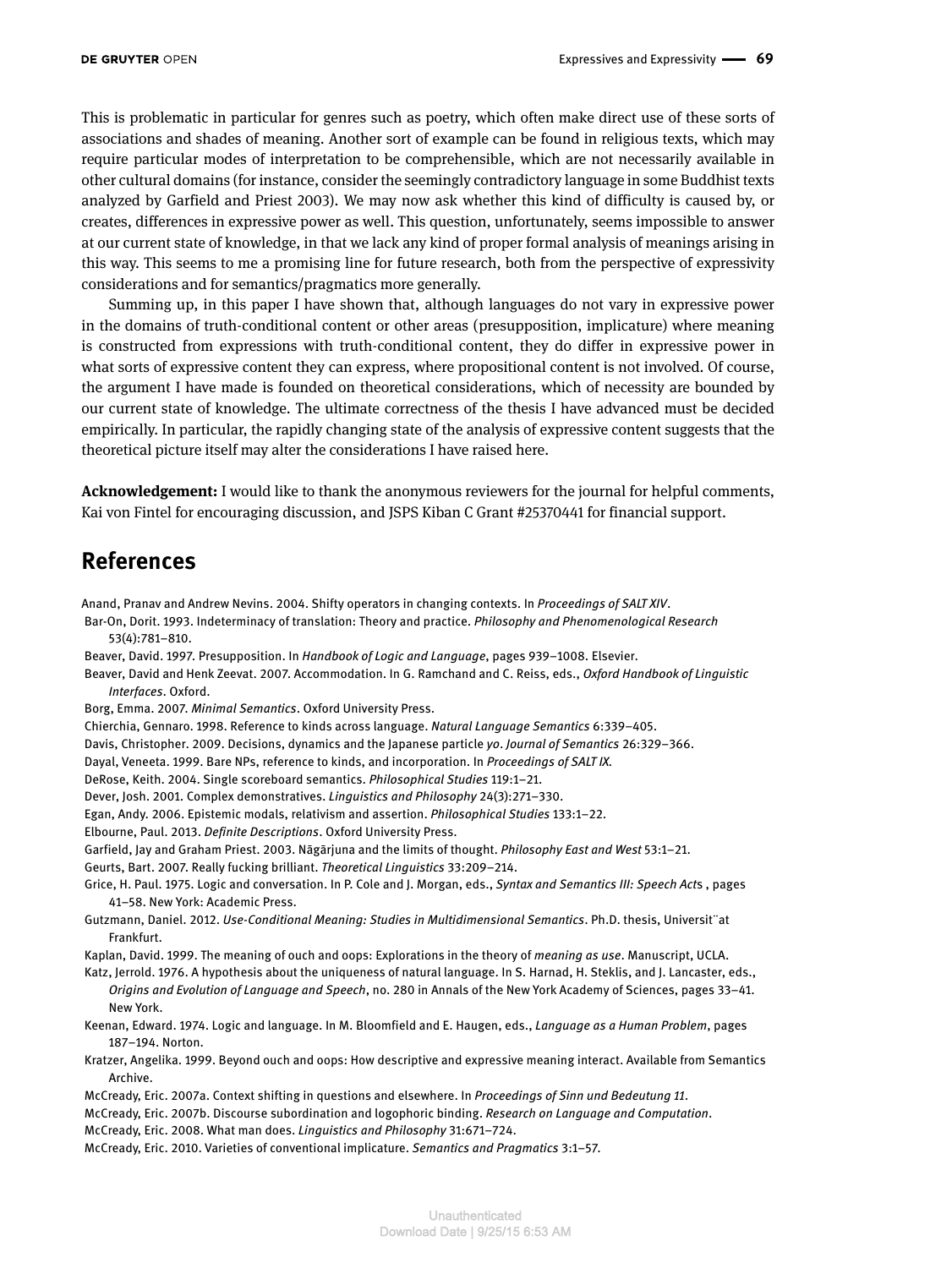This is problematic in particular for genres such as poetry, which often make direct use of these sorts of associations and shades of meaning. Another sort of example can be found in religious texts, which may require particular modes of interpretation to be comprehensible, which are not necessarily available in other cultural domains (for instance, consider the seemingly contradictory language in some Buddhist texts analyzed by Garfield and Priest 2003). We may now ask whether this kind of difficulty is caused by, or creates, differences in expressive power as well. This question, unfortunately, seems impossible to answer at our current state of knowledge, in that we lack any kind of proper formal analysis of meanings arising in this way. This seems to me a promising line for future research, both from the perspective of expressivity considerations and for semantics/pragmatics more generally.

Summing up, in this paper I have shown that, although languages do not vary in expressive power in the domains of truth-conditional content or other areas (presupposition, implicature) where meaning is constructed from expressions with truth-conditional content, they do differ in expressive power in what sorts of expressive content they can express, where propositional content is not involved. Of course, the argument I have made is founded on theoretical considerations, which of necessity are bounded by our current state of knowledge. The ultimate correctness of the thesis I have advanced must be decided empirically. In particular, the rapidly changing state of the analysis of expressive content suggests that the theoretical picture itself may alter the considerations I have raised here.

**Acknowledgement:** I would like to thank the anonymous reviewers for the journal for helpful comments, Kai von Fintel for encouraging discussion, and JSPS Kiban C Grant #25370441 for financial support.

### **References**

Anand, Pranav and Andrew Nevins. 2004. Shifty operators in changing contexts. In *Proceedings of SALT XIV*.

- Bar-On, Dorit. 1993. Indeterminacy of translation: Theory and practice. *Philosophy and Phenomenological Research* 53(4):781–810.
- Beaver, David. 1997. Presupposition. In *Handbook of Logic and Language*, pages 939–1008. Elsevier.
- Beaver, David and Henk Zeevat. 2007. Accommodation. In G. Ramchand and C. Reiss, eds., *Oxford Handbook of Linguistic Interfaces*. Oxford.
- Borg, Emma. 2007. *Minimal Semantics*. Oxford University Press.
- Chierchia, Gennaro. 1998. Reference to kinds across language. *Natural Language Semantics* 6:339–405.
- Davis, Christopher. 2009. Decisions, dynamics and the Japanese particle *yo*. *Journal of Semantics* 26:329–366.
- Dayal, Veneeta. 1999. Bare NPs, reference to kinds, and incorporation. In *Proceedings of SALT IX.*

DeRose, Keith. 2004. Single scoreboard semantics. *Philosophical Studies* 119:1–21.

Dever, Josh. 2001. Complex demonstratives. *Linguistics and Philosophy* 24(3):271–330.

- Egan, Andy. 2006. Epistemic modals, relativism and assertion. *Philosophical Studies* 133:1–22.
- Elbourne, Paul. 2013. *Definite Descriptions*. Oxford University Press.
- Garfield, Jay and Graham Priest. 2003. Nāgārjuna and the limits of thought. *Philosophy East and West* 53:1–21.
- Geurts, Bart. 2007. Really fucking brilliant. *Theoretical Linguistics* 33:209–214.
- Grice, H. Paul. 1975. Logic and conversation. In P. Cole and J. Morgan, eds., *Syntax and Semantics III: Speech Act*s , pages 41–58. New York: Academic Press.
- Gutzmann, Daniel. 2012. *Use-Conditional Meaning: Studies in Multidimensional Semantics*. Ph.D. thesis, Universit¨at Frankfurt.
- Kaplan, David. 1999. The meaning of ouch and oops: Explorations in the theory of *meaning as use*. Manuscript, UCLA.
- Katz, Jerrold. 1976. A hypothesis about the uniqueness of natural language. In S. Harnad, H. Steklis, and J. Lancaster, eds., *Origins and Evolution of Language and Speech*, no. 280 in Annals of the New York Academy of Sciences, pages 33–41. New York.
- Keenan, Edward. 1974. Logic and language. In M. Bloomfield and E. Haugen, eds., *Language as a Human Problem*, pages 187–194. Norton.
- Kratzer, Angelika. 1999. Beyond ouch and oops: How descriptive and expressive meaning interact. Available from Semantics Archive.
- McCready, Eric. 2007a. Context shifting in questions and elsewhere. In *Proceedings of Sinn und Bedeutung 11*.
- McCready, Eric. 2007b. Discourse subordination and logophoric binding. *Research on Language and Computation*.
- McCready, Eric. 2008. What man does. *Linguistics and Philosophy* 31:671–724.
- McCready, Eric. 2010. Varieties of conventional implicature. *Semantics and Pragmatics* 3:1–57.